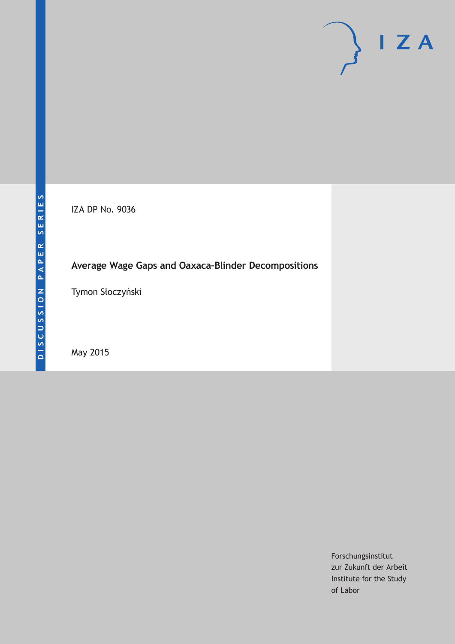IZA DP No. 9036

# **Average Wage Gaps and Oaxaca–Blinder Decompositions**

Tymon Słoczyński

May 2015

Forschungsinstitut zur Zukunft der Arbeit Institute for the Study of Labor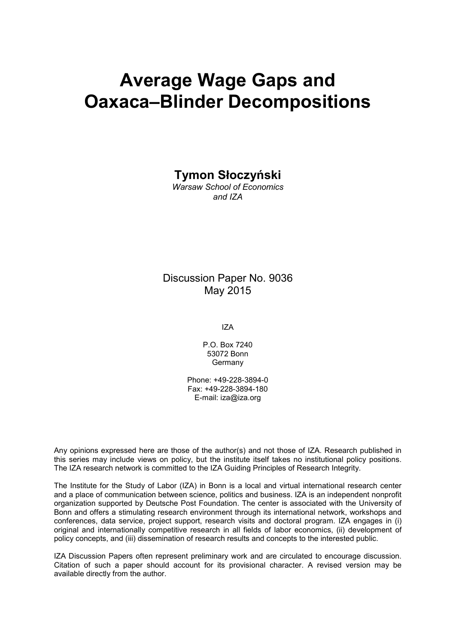# **Average Wage Gaps and Oaxaca–Blinder Decompositions**

### **Tymon Słoczyński**

*Warsaw School of Economics and IZA*

### Discussion Paper No. 9036 May 2015

IZA

P.O. Box 7240 53072 Bonn Germany

Phone: +49-228-3894-0 Fax: +49-228-3894-180 E-mail: iza@iza.org

Any opinions expressed here are those of the author(s) and not those of IZA. Research published in this series may include views on policy, but the institute itself takes no institutional policy positions. The IZA research network is committed to the IZA Guiding Principles of Research Integrity.

<span id="page-1-0"></span>The Institute for the Study of Labor (IZA) in Bonn is a local and virtual international research center and a place of communication between science, politics and business. IZA is an independent nonprofit organization supported by Deutsche Post Foundation. The center is associated with the University of Bonn and offers a stimulating research environment through its international network, workshops and conferences, data service, project support, research visits and doctoral program. IZA engages in (i) original and internationally competitive research in all fields of labor economics, (ii) development of policy concepts, and (iii) dissemination of research results and concepts to the interested public.

IZA Discussion Papers often represent preliminary work and are circulated to encourage discussion. Citation of such a paper should account for its provisional character. A revised version may be available directly from the author.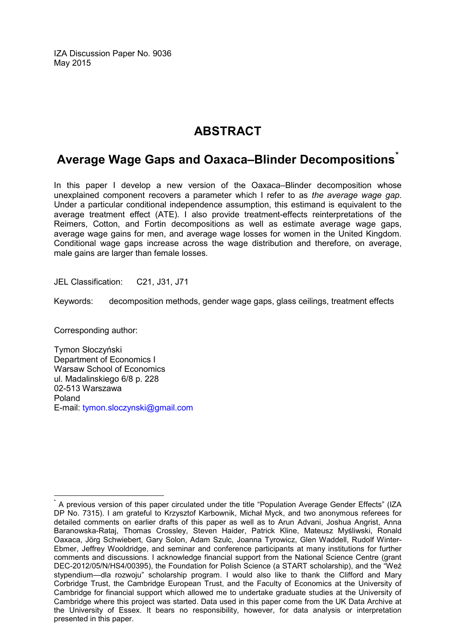IZA Discussion Paper No. 9036 May 2015

# **ABSTRACT**

# **Average Wage Gaps and Oaxaca–Blinder Decompositions[\\*](#page-1-0)**

In this paper I develop a new version of the Oaxaca–Blinder decomposition whose unexplained component recovers a parameter which I refer to as *the average wage gap*. Under a particular conditional independence assumption, this estimand is equivalent to the average treatment effect (ATE). I also provide treatment-effects reinterpretations of the Reimers, Cotton, and Fortin decompositions as well as estimate average wage gaps, average wage gains for men, and average wage losses for women in the United Kingdom. Conditional wage gaps increase across the wage distribution and therefore, on average, male gains are larger than female losses.

JEL Classification: C21, J31, J71

Keywords: decomposition methods, gender wage gaps, glass ceilings, treatment effects

Corresponding author:

Tymon Słoczyński Department of Economics I Warsaw School of Economics ul. Madalinskiego 6/8 p. 228 02-513 Warszawa Poland E-mail: [tymon.sloczynski@gmail.com](mailto:tymon.sloczynski@gmail.com)

A previous version of this paper circulated under the title "Population Average Gender Effects" (IZA DP No. 7315). I am grateful to Krzysztof Karbownik, Michał Myck, and two anonymous referees for detailed comments on earlier drafts of this paper as well as to Arun Advani, Joshua Angrist, Anna Baranowska-Rataj, Thomas Crossley, Steven Haider, Patrick Kline, Mateusz Myśliwski, Ronald Oaxaca, Jörg Schwiebert, Gary Solon, Adam Szulc, Joanna Tyrowicz, Glen Waddell, Rudolf Winter-Ebmer, Jeffrey Wooldridge, and seminar and conference participants at many institutions for further comments and discussions. I acknowledge financial support from the National Science Centre (grant DEC-2012/05/N/HS4/00395), the Foundation for Polish Science (a START scholarship), and the "Weź stypendium—dla rozwoju" scholarship program. I would also like to thank the Clifford and Mary Corbridge Trust, the Cambridge European Trust, and the Faculty of Economics at the University of Cambridge for financial support which allowed me to undertake graduate studies at the University of Cambridge where this project was started. Data used in this paper come from the UK Data Archive at the University of Essex. It bears no responsibility, however, for data analysis or interpretation presented in this paper.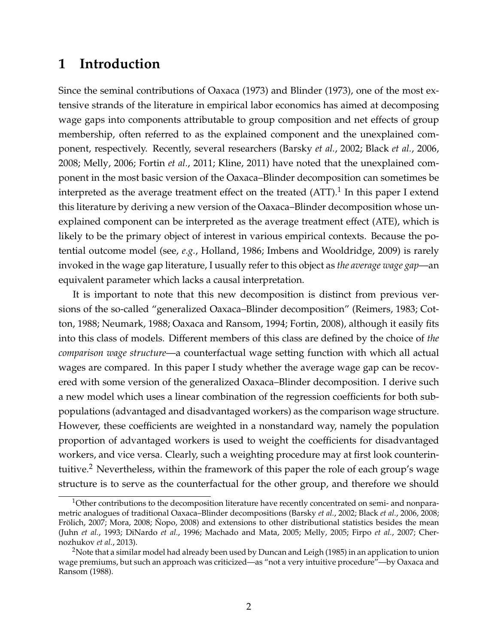# **1 Introduction**

Since the seminal contributions of [Oaxaca](#page-25-0) [\(1973\)](#page-25-0) and [Blinder](#page-22-0) [\(1973\)](#page-22-0), one of the most extensive strands of the literature in empirical labor economics has aimed at decomposing wage gaps into components attributable to group composition and net effects of group membership, often referred to as the explained component and the unexplained component, respectively. Recently, several researchers [\(Barsky](#page-22-1) *et al.*, [2002;](#page-22-1) [Black](#page-22-2) *et al.*, [2006,](#page-22-2) [2008;](#page-22-3) [Melly, 2006;](#page-24-0) [Fortin](#page-23-0) *et al.*, [2011;](#page-23-0) [Kline, 2011\)](#page-24-1) have noted that the unexplained component in the most basic version of the Oaxaca–Blinder decomposition can sometimes be interpreted as the average treatment effect on the treated (ATT).<sup>[1](#page-3-0)</sup> In this paper I extend this literature by deriving a new version of the Oaxaca–Blinder decomposition whose unexplained component can be interpreted as the average treatment effect (ATE), which is likely to be the primary object of interest in various empirical contexts. Because the potential outcome model (see, *e.g.*, [Holland, 1986;](#page-23-1) [Imbens and Wooldridge, 2009\)](#page-24-2) is rarely invoked in the wage gap literature, I usually refer to this object as *the average wage gap*—an equivalent parameter which lacks a causal interpretation.

It is important to note that this new decomposition is distinct from previous versions of the so-called "generalized Oaxaca–Blinder decomposition" [\(Reimers, 1983;](#page-25-1) [Cot](#page-22-4)[ton, 1988;](#page-22-4) [Neumark, 1988;](#page-25-2) [Oaxaca and Ransom, 1994;](#page-25-3) [Fortin, 2008\)](#page-23-2), although it easily fits into this class of models. Different members of this class are defined by the choice of *the comparison wage structure*—a counterfactual wage setting function with which all actual wages are compared. In this paper I study whether the average wage gap can be recovered with some version of the generalized Oaxaca–Blinder decomposition. I derive such a new model which uses a linear combination of the regression coefficients for both subpopulations (advantaged and disadvantaged workers) as the comparison wage structure. However, these coefficients are weighted in a nonstandard way, namely the population proportion of advantaged workers is used to weight the coefficients for disadvantaged workers, and vice versa. Clearly, such a weighting procedure may at first look counterintuitive.[2](#page-3-1) Nevertheless, within the framework of this paper the role of each group's wage structure is to serve as the counterfactual for the other group, and therefore we should

<span id="page-3-0"></span> $1$ Other contributions to the decomposition literature have recently concentrated on semi- and nonparametric analogues of traditional Oaxaca–Blinder decompositions [\(Barsky](#page-22-1) *et al.*, [2002;](#page-22-1) [Black](#page-22-2) *et al.*, [2006,](#page-22-2) [2008;](#page-22-3) Frölich, 2007; [Mora, 2008;](#page-24-3) Ñopo, 2008) and extensions to other distributional statistics besides the mean [\(Juhn](#page-24-4) *et al.*, [1993;](#page-24-4) [DiNardo](#page-23-4) *et al.*, [1996;](#page-23-4) [Machado and Mata, 2005;](#page-24-5) [Melly, 2005;](#page-24-6) [Firpo](#page-23-5) *et al.*, [2007;](#page-23-5) [Cher](#page-22-5)[nozhukov](#page-22-5) *et al.*, [2013\)](#page-22-5).

<span id="page-3-1"></span><sup>&</sup>lt;sup>2</sup>Note that a similar model had already been used by [Duncan and Leigh](#page-23-6) [\(1985\)](#page-23-6) in an application to union wage premiums, but such an approach was criticized—as "not a very intuitive procedure"—by [Oaxaca and](#page-25-5) [Ransom](#page-25-5) [\(1988\)](#page-25-5).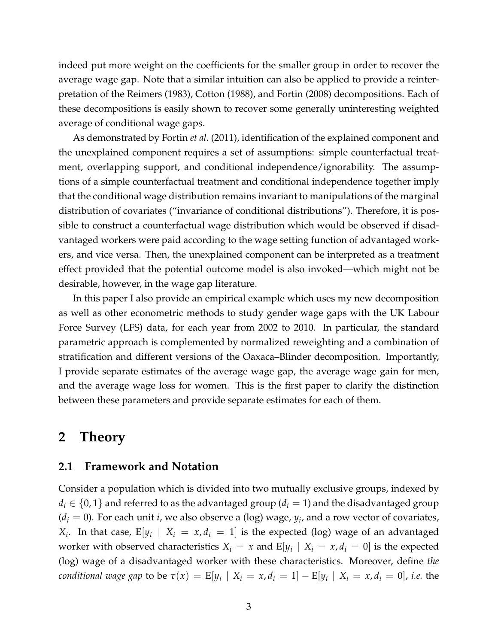indeed put more weight on the coefficients for the smaller group in order to recover the average wage gap. Note that a similar intuition can also be applied to provide a reinterpretation of the [Reimers](#page-25-1) [\(1983\)](#page-25-1), [Cotton](#page-22-4) [\(1988\)](#page-22-4), and [Fortin](#page-23-2) [\(2008\)](#page-23-2) decompositions. Each of these decompositions is easily shown to recover some generally uninteresting weighted average of conditional wage gaps.

As demonstrated by [Fortin](#page-23-0) *et al.* [\(2011\)](#page-23-0), identification of the explained component and the unexplained component requires a set of assumptions: simple counterfactual treatment, overlapping support, and conditional independence/ignorability. The assumptions of a simple counterfactual treatment and conditional independence together imply that the conditional wage distribution remains invariant to manipulations of the marginal distribution of covariates ("invariance of conditional distributions"). Therefore, it is possible to construct a counterfactual wage distribution which would be observed if disadvantaged workers were paid according to the wage setting function of advantaged workers, and vice versa. Then, the unexplained component can be interpreted as a treatment effect provided that the potential outcome model is also invoked—which might not be desirable, however, in the wage gap literature.

In this paper I also provide an empirical example which uses my new decomposition as well as other econometric methods to study gender wage gaps with the UK Labour Force Survey (LFS) data, for each year from 2002 to 2010. In particular, the standard parametric approach is complemented by normalized reweighting and a combination of stratification and different versions of the Oaxaca–Blinder decomposition. Importantly, I provide separate estimates of the average wage gap, the average wage gain for men, and the average wage loss for women. This is the first paper to clarify the distinction between these parameters and provide separate estimates for each of them.

#### **2 Theory**

#### **2.1 Framework and Notation**

Consider a population which is divided into two mutually exclusive groups, indexed by  $d_i \in \{0,1\}$  and referred to as the advantaged group ( $d_i = 1$ ) and the disadvantaged group  $(d_i = 0)$ . For each unit *i*, we also observe a (log) wage,  $y_i$ , and a row vector of covariates, *X*<sub>*i*</sub>. In that case, E[ $y_i$  | *X*<sub>*i*</sub> = *x*, *d*<sub>*i*</sub> = 1] is the expected (log) wage of an advantaged worker with observed characteristics  $X_i = x$  and  $E[y_i | X_i = x, d_i = 0]$  is the expected (log) wage of a disadvantaged worker with these characteristics. Moreover, define *the conditional wage gap* to be  $\tau(x) = \mathbb{E}[y_i \mid X_i = x, d_i = 1] - \mathbb{E}[y_i \mid X_i = x, d_i = 0]$ , *i.e.* the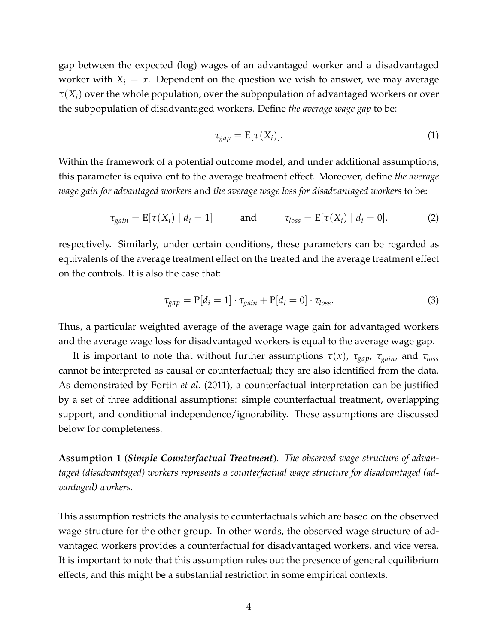gap between the expected (log) wages of an advantaged worker and a disadvantaged worker with  $X_i = x$ . Dependent on the question we wish to answer, we may average  $\tau(X_i)$  over the whole population, over the subpopulation of advantaged workers or over the subpopulation of disadvantaged workers. Define *the average wage gap* to be:

$$
\tau_{gap} = \mathbb{E}[\tau(X_i)]. \tag{1}
$$

Within the framework of a potential outcome model, and under additional assumptions, this parameter is equivalent to the average treatment effect. Moreover, define *the average wage gain for advantaged workers* and *the average wage loss for disadvantaged workers* to be:

$$
\tau_{gain} = \mathbb{E}[\tau(X_i) \mid d_i = 1] \quad \text{and} \quad \tau_{loss} = \mathbb{E}[\tau(X_i) \mid d_i = 0], \quad (2)
$$

respectively. Similarly, under certain conditions, these parameters can be regarded as equivalents of the average treatment effect on the treated and the average treatment effect on the controls. It is also the case that:

$$
\tau_{gap} = P[d_i = 1] \cdot \tau_{gain} + P[d_i = 0] \cdot \tau_{loss}.
$$
\n(3)

Thus, a particular weighted average of the average wage gain for advantaged workers and the average wage loss for disadvantaged workers is equal to the average wage gap.

It is important to note that without further assumptions  $\tau(x)$ ,  $\tau_{gap}$ ,  $\tau_{gain}$ , and  $\tau_{loss}$ cannot be interpreted as causal or counterfactual; they are also identified from the data. As demonstrated by [Fortin](#page-23-0) *et al.* [\(2011\)](#page-23-0), a counterfactual interpretation can be justified by a set of three additional assumptions: simple counterfactual treatment, overlapping support, and conditional independence/ignorability. These assumptions are discussed below for completeness.

**Assumption 1** (*Simple Counterfactual Treatment*). *The observed wage structure of advantaged (disadvantaged) workers represents a counterfactual wage structure for disadvantaged (advantaged) workers.*

This assumption restricts the analysis to counterfactuals which are based on the observed wage structure for the other group. In other words, the observed wage structure of advantaged workers provides a counterfactual for disadvantaged workers, and vice versa. It is important to note that this assumption rules out the presence of general equilibrium effects, and this might be a substantial restriction in some empirical contexts.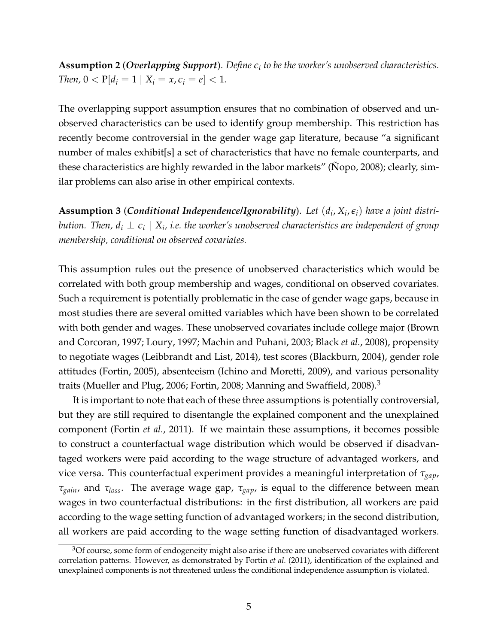**Assumption 2** (*Overlapping Support*). *Define e<sup>i</sup> to be the worker's unobserved characteristics. Then*,  $0 < P[d_i = 1 | X_i = x, \epsilon_i = e] < 1$ .

The overlapping support assumption ensures that no combination of observed and unobserved characteristics can be used to identify group membership. This restriction has recently become controversial in the gender wage gap literature, because "a significant number of males exhibit[s] a set of characteristics that have no female counterparts, and these characteristics are highly rewarded in the labor markets" [\(Nopo, 2008\)](#page-25-4); clearly, similar problems can also arise in other empirical contexts.

**Assumption 3** (*Conditional Independence/Ignorability*). *Let* (*d<sup>i</sup>* , *X<sup>i</sup>* , *ei*) *have a joint distri* $b$ ution. Then,  $d_i \perp \epsilon_i \mid X_i$ , i.e. the worker's unobserved characteristics are independent of group *membership, conditional on observed covariates.*

This assumption rules out the presence of unobserved characteristics which would be correlated with both group membership and wages, conditional on observed covariates. Such a requirement is potentially problematic in the case of gender wage gaps, because in most studies there are several omitted variables which have been shown to be correlated with both gender and wages. These unobserved covariates include college major [\(Brown](#page-22-6) [and Corcoran, 1997;](#page-22-6) [Loury, 1997;](#page-24-7) [Machin and Puhani, 2003;](#page-24-8) [Black](#page-22-3) *et al.*, [2008\)](#page-22-3), propensity to negotiate wages [\(Leibbrandt and List, 2014\)](#page-24-9), test scores [\(Blackburn, 2004\)](#page-22-7), gender role attitudes [\(Fortin, 2005\)](#page-23-7), absenteeism [\(Ichino and Moretti, 2009\)](#page-24-10), and various personality traits [\(Mueller and Plug, 2006;](#page-24-11) [Fortin, 2008;](#page-23-2) [Manning and Swaffield, 2008\)](#page-24-12).<sup>[3](#page-6-0)</sup>

It is important to note that each of these three assumptions is potentially controversial, but they are still required to disentangle the explained component and the unexplained component [\(Fortin](#page-23-0) *et al.*, [2011\)](#page-23-0). If we maintain these assumptions, it becomes possible to construct a counterfactual wage distribution which would be observed if disadvantaged workers were paid according to the wage structure of advantaged workers, and vice versa. This counterfactual experiment provides a meaningful interpretation of *τgap*, *τgain*, and *τloss*. The average wage gap, *τgap*, is equal to the difference between mean wages in two counterfactual distributions: in the first distribution, all workers are paid according to the wage setting function of advantaged workers; in the second distribution, all workers are paid according to the wage setting function of disadvantaged workers.

<span id="page-6-0"></span><sup>&</sup>lt;sup>3</sup>Of course, some form of endogeneity might also arise if there are unobserved covariates with different correlation patterns. However, as demonstrated by [Fortin](#page-23-0) *et al.* [\(2011\)](#page-23-0), identification of the explained and unexplained components is not threatened unless the conditional independence assumption is violated.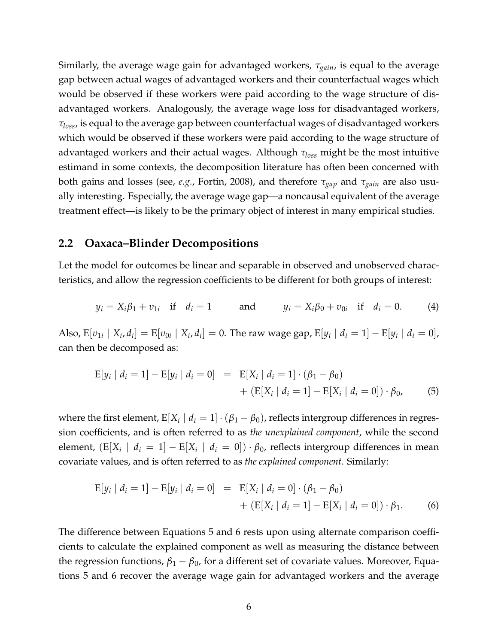Similarly, the average wage gain for advantaged workers, *τgain*, is equal to the average gap between actual wages of advantaged workers and their counterfactual wages which would be observed if these workers were paid according to the wage structure of disadvantaged workers. Analogously, the average wage loss for disadvantaged workers, *τloss*, is equal to the average gap between counterfactual wages of disadvantaged workers which would be observed if these workers were paid according to the wage structure of advantaged workers and their actual wages. Although *τloss* might be the most intuitive estimand in some contexts, the decomposition literature has often been concerned with both gains and losses (see, *e.g.*, [Fortin, 2008\)](#page-23-2), and therefore *τgap* and *τgain* are also usually interesting. Especially, the average wage gap—a noncausal equivalent of the average treatment effect—is likely to be the primary object of interest in many empirical studies.

#### **2.2 Oaxaca–Blinder Decompositions**

Let the model for outcomes be linear and separable in observed and unobserved characteristics, and allow the regression coefficients to be different for both groups of interest:

<span id="page-7-2"></span>
$$
y_i = X_i \beta_1 + v_{1i}
$$
 if  $d_i = 1$  and  $y_i = X_i \beta_0 + v_{0i}$  if  $d_i = 0$ . (4)

Also,  $\text{E}[v_{1i} | X_i, d_i] = \text{E}[v_{0i} | X_i, d_i] = 0$ . The raw wage gap,  $\text{E}[y_i | d_i = 1] - \text{E}[y_i | d_i = 0]$ , can then be decomposed as:

<span id="page-7-0"></span>
$$
E[y_i | d_i = 1] - E[y_i | d_i = 0] = E[X_i | d_i = 1] \cdot (\beta_1 - \beta_0) + (E[X_i | d_i = 1] - E[X_i | d_i = 0]) \cdot \beta_0,
$$
(5)

where the first element,  $\text{E}[X_i \mid d_i = 1] \cdot (\beta_1 - \beta_0)$ , reflects intergroup differences in regression coefficients, and is often referred to as *the unexplained component*, while the second element,  $(E[X_i \mid d_i = 1] - E[X_i \mid d_i = 0]) \cdot \beta_0$ , reflects intergroup differences in mean covariate values, and is often referred to as *the explained component*. Similarly:

<span id="page-7-1"></span>
$$
E[y_i | d_i = 1] - E[y_i | d_i = 0] = E[X_i | d_i = 0] \cdot (\beta_1 - \beta_0) + (E[X_i | d_i = 1] - E[X_i | d_i = 0]) \cdot \beta_1.
$$
 (6)

The difference between Equations [5](#page-7-0) and [6](#page-7-1) rests upon using alternate comparison coefficients to calculate the explained component as well as measuring the distance between the regression functions,  $β_1 - β_0$ , for a different set of covariate values. Moreover, Equations [5](#page-7-0) and [6](#page-7-1) recover the average wage gain for advantaged workers and the average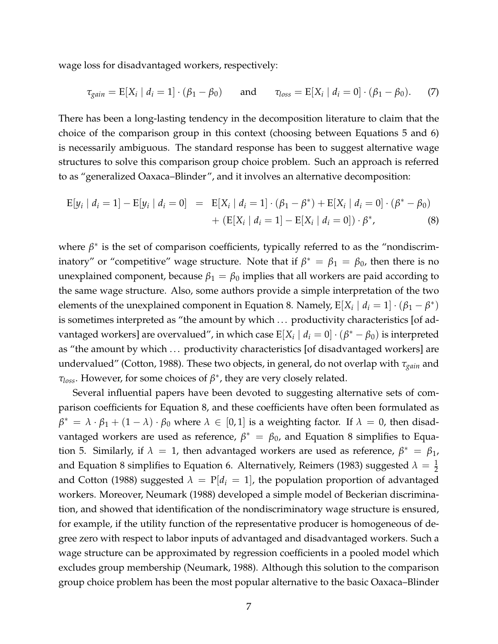wage loss for disadvantaged workers, respectively:

<span id="page-8-1"></span>
$$
\tau_{gain} = E[X_i \mid d_i = 1] \cdot (\beta_1 - \beta_0) \quad \text{and} \quad \tau_{loss} = E[X_i \mid d_i = 0] \cdot (\beta_1 - \beta_0). \tag{7}
$$

There has been a long-lasting tendency in the decomposition literature to claim that the choice of the comparison group in this context (choosing between Equations [5](#page-7-0) and [6\)](#page-7-1) is necessarily ambiguous. The standard response has been to suggest alternative wage structures to solve this comparison group choice problem. Such an approach is referred to as "generalized Oaxaca–Blinder", and it involves an alternative decomposition:

<span id="page-8-0"></span>
$$
E[y_i | d_i = 1] - E[y_i | d_i = 0] = E[X_i | d_i = 1] \cdot (\beta_1 - \beta^*) + E[X_i | d_i = 0] \cdot (\beta^* - \beta_0)
$$
  
+ 
$$
(E[X_i | d_i = 1] - E[X_i | d_i = 0]) \cdot \beta^*,
$$
 (8)

where  $\beta^*$  is the set of comparison coefficients, typically referred to as the "nondiscriminatory" or "competitive" wage structure. Note that if  $\beta^* = \beta_1 = \beta_0$ , then there is no unexplained component, because  $\beta_1 = \beta_0$  implies that all workers are paid according to the same wage structure. Also, some authors provide a simple interpretation of the two elements of the unexplained component in Equation [8.](#page-8-0) Namely,  $E[X_i | d_i = 1] \cdot (\beta_1 - \beta^*)$ is sometimes interpreted as "the amount by which ... productivity characteristics [of advantaged workers] are overvalued", in which case  $\mathbb{E}[X_i \mid d_i = 0] \cdot (\beta^* - \beta_0)$  is interpreted as "the amount by which ... productivity characteristics [of disadvantaged workers] are undervalued" [\(Cotton, 1988\)](#page-22-4). These two objects, in general, do not overlap with *τgain* and *τloss*. However, for some choices of *β* ∗ , they are very closely related.

Several influential papers have been devoted to suggesting alternative sets of comparison coefficients for Equation [8,](#page-8-0) and these coefficients have often been formulated as  $\beta^* = \lambda \cdot \beta_1 + (1 - \lambda) \cdot \beta_0$  where  $\lambda \in [0, 1]$  is a weighting factor. If  $\lambda = 0$ , then disadvantaged workers are used as reference,  $\beta^* = \beta_0$ , and Equation [8](#page-8-0) simplifies to Equa-tion [5.](#page-7-0) Similarly, if  $\lambda = 1$ , then advantaged workers are used as reference,  $\beta^* = \beta_1$ , and Equation [8](#page-8-0) simplifies to Equation [6.](#page-7-1) Alternatively, [Reimers](#page-25-1) [\(1983\)](#page-25-1) suggested  $\lambda = \frac{1}{2}$ and [Cotton](#page-22-4) [\(1988\)](#page-22-4) suggested  $\lambda = P[d_i = 1]$ , the population proportion of advantaged workers. Moreover, [Neumark](#page-25-2) [\(1988\)](#page-25-2) developed a simple model of Beckerian discrimination, and showed that identification of the nondiscriminatory wage structure is ensured, for example, if the utility function of the representative producer is homogeneous of degree zero with respect to labor inputs of advantaged and disadvantaged workers. Such a wage structure can be approximated by regression coefficients in a pooled model which excludes group membership [\(Neumark, 1988\)](#page-25-2). Although this solution to the comparison group choice problem has been the most popular alternative to the basic Oaxaca–Blinder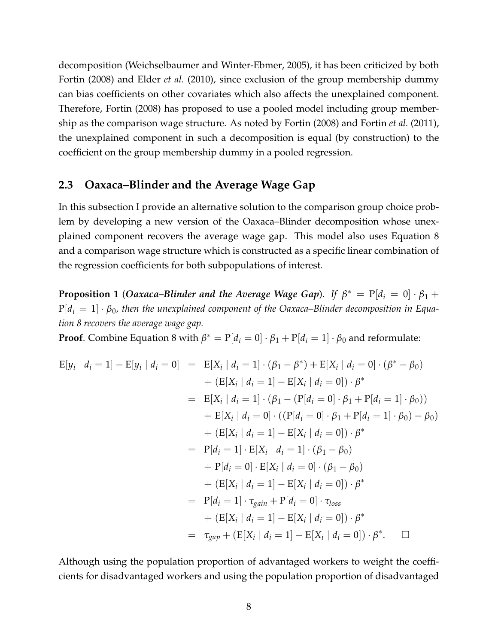decomposition [\(Weichselbaumer and Winter-Ebmer, 2005\)](#page-25-6), it has been criticized by both [Fortin](#page-23-2) [\(2008\)](#page-23-2) and [Elder](#page-23-8) *et al.* [\(2010\)](#page-23-8), since exclusion of the group membership dummy can bias coefficients on other covariates which also affects the unexplained component. Therefore, [Fortin](#page-23-2) [\(2008\)](#page-23-2) has proposed to use a pooled model including group membership as the comparison wage structure. As noted by [Fortin](#page-23-2) [\(2008\)](#page-23-2) and [Fortin](#page-23-0) *et al.* [\(2011\)](#page-23-0), the unexplained component in such a decomposition is equal (by construction) to the coefficient on the group membership dummy in a pooled regression.

#### **2.3 Oaxaca–Blinder and the Average Wage Gap**

In this subsection I provide an alternative solution to the comparison group choice problem by developing a new version of the Oaxaca–Blinder decomposition whose unexplained component recovers the average wage gap. This model also uses Equation [8](#page-8-0) and a comparison wage structure which is constructed as a specific linear combination of the regression coefficients for both subpopulations of interest.

**Proposition 1** (*Oaxaca–Blinder and the Average Wage Gap*). *If*  $\beta^* = P[d_i = 0] \cdot \beta_1 +$  $P[d_i = 1] \cdot \beta_0$ , then the unexplained component of the Oaxaca–Blinder decomposition in Equa*tion [8](#page-8-0) recovers the average wage gap.*

**Proof**. Combine Equation [8](#page-8-0) with  $\beta^* = P[d_i = 0] \cdot \beta_1 + P[d_i = 1] \cdot \beta_0$  and reformulate:

$$
E[y_i | d_i = 1] - E[y_i | d_i = 0] = E[X_i | d_i = 1] \cdot (\beta_1 - \beta^*) + E[X_i | d_i = 0] \cdot (\beta^* - \beta_0)
$$
  
+ 
$$
(E[X_i | d_i = 1] - E[X_i | d_i = 0]) \cdot \beta^*
$$
  
= 
$$
E[X_i | d_i = 1] \cdot (\beta_1 - (P[d_i = 0] \cdot \beta_1 + P[d_i = 1] \cdot \beta_0))
$$
  
+ 
$$
E[X_i | d_i = 0] \cdot ((P[d_i = 0] \cdot \beta_1 + P[d_i = 1] \cdot \beta_0) - \beta_0)
$$
  
+ 
$$
(E[X_i | d_i = 1] - E[X_i | d_i = 0]) \cdot \beta^*
$$
  
= 
$$
P[d_i = 1] \cdot E[X_i | d_i = 1] \cdot (\beta_1 - \beta_0)
$$
  
+ 
$$
P[d_i = 0] \cdot E[X_i | d_i = 0] \cdot (\beta_1 - \beta_0)
$$
  
+ 
$$
(E[X_i | d_i = 1] - E[X_i | d_i = 0]) \cdot \beta^*
$$
  
= 
$$
P[d_i = 1] \cdot \tau_{gain} + P[d_i = 0] \cdot \tau_{loss}
$$
  
+ 
$$
(E[X_i | d_i = 1] - E[X_i | d_i = 0]) \cdot \beta^*
$$
  
= 
$$
\tau_{gap} + (E[X_i | d_i = 1] - E[X_i | d_i = 0]) \cdot \beta^*.
$$

Although using the population proportion of advantaged workers to weight the coefficients for disadvantaged workers and using the population proportion of disadvantaged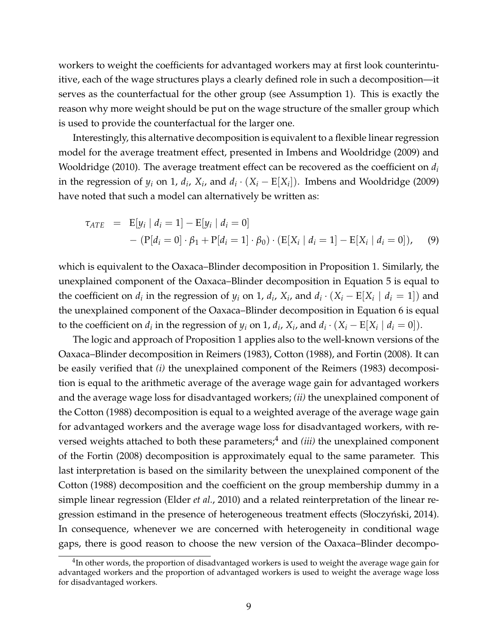workers to weight the coefficients for advantaged workers may at first look counterintuitive, each of the wage structures plays a clearly defined role in such a decomposition—it serves as the counterfactual for the other group (see Assumption 1). This is exactly the reason why more weight should be put on the wage structure of the smaller group which is used to provide the counterfactual for the larger one.

Interestingly, this alternative decomposition is equivalent to a flexible linear regression model for the average treatment effect, presented in [Imbens and Wooldridge](#page-24-2) [\(2009\)](#page-24-2) and [Wooldridge](#page-25-7) [\(2010\)](#page-25-7). The average treatment effect can be recovered as the coefficient on *d<sup>i</sup>* in the regression of  $y_i$  on 1,  $d_i$ ,  $X_i$ , and  $d_i \cdot (X_i - E[X_i])$ . [Imbens and Wooldridge](#page-24-2) [\(2009\)](#page-24-2) have noted that such a model can alternatively be written as:

$$
\tau_{ATE} = \mathbb{E}[y_i | d_i = 1] - \mathbb{E}[y_i | d_i = 0] \n- (\mathbb{P}[d_i = 0] \cdot \beta_1 + \mathbb{P}[d_i = 1] \cdot \beta_0) \cdot (\mathbb{E}[X_i | d_i = 1] - \mathbb{E}[X_i | d_i = 0]), \quad (9)
$$

which is equivalent to the Oaxaca–Blinder decomposition in Proposition 1. Similarly, the unexplained component of the Oaxaca–Blinder decomposition in Equation [5](#page-7-0) is equal to the coefficient on  $d_i$  in the regression of  $y_i$  on 1,  $d_i$ ,  $X_i$ , and  $d_i \cdot (X_i - E[X_i \mid d_i = 1])$  and the unexplained component of the Oaxaca–Blinder decomposition in Equation [6](#page-7-1) is equal to the coefficient on  $d_i$  in the regression of  $y_i$  on 1,  $d_i$ ,  $X_i$ , and  $d_i \cdot (X_i - E[X_i | d_i = 0]).$ 

The logic and approach of Proposition 1 applies also to the well-known versions of the Oaxaca–Blinder decomposition in [Reimers](#page-25-1) [\(1983\)](#page-25-1), [Cotton](#page-22-4) [\(1988\)](#page-22-4), and [Fortin](#page-23-2) [\(2008\)](#page-23-2). It can be easily verified that *(i)* the unexplained component of the [Reimers](#page-25-1) [\(1983\)](#page-25-1) decomposition is equal to the arithmetic average of the average wage gain for advantaged workers and the average wage loss for disadvantaged workers; *(ii)* the unexplained component of the [Cotton](#page-22-4) [\(1988\)](#page-22-4) decomposition is equal to a weighted average of the average wage gain for advantaged workers and the average wage loss for disadvantaged workers, with re-versed weights attached to both these parameters;<sup>[4](#page-10-0)</sup> and *(iii)* the unexplained component of the [Fortin](#page-23-2) [\(2008\)](#page-23-2) decomposition is approximately equal to the same parameter. This last interpretation is based on the similarity between the unexplained component of the [Cotton](#page-22-4) [\(1988\)](#page-22-4) decomposition and the coefficient on the group membership dummy in a simple linear regression [\(Elder](#page-23-8) *et al.*, [2010\)](#page-23-8) and a related reinterpretation of the linear regression estimand in the presence of heterogeneous treatment effects (Słoczyński, 2014). In consequence, whenever we are concerned with heterogeneity in conditional wage gaps, there is good reason to choose the new version of the Oaxaca–Blinder decompo-

<span id="page-10-0"></span> $^4$ In other words, the proportion of disadvantaged workers is used to weight the average wage gain for advantaged workers and the proportion of advantaged workers is used to weight the average wage loss for disadvantaged workers.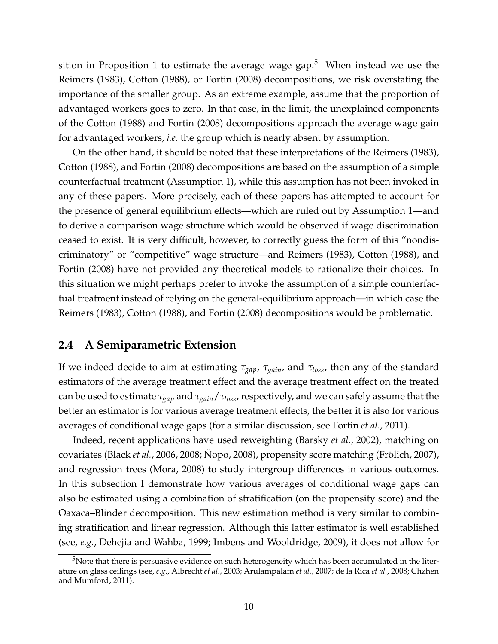sition in Proposition 1 to estimate the average wage gap.<sup>[5](#page-11-0)</sup> When instead we use the [Reimers](#page-25-1) [\(1983\)](#page-25-1), [Cotton](#page-22-4) [\(1988\)](#page-22-4), or [Fortin](#page-23-2) [\(2008\)](#page-23-2) decompositions, we risk overstating the importance of the smaller group. As an extreme example, assume that the proportion of advantaged workers goes to zero. In that case, in the limit, the unexplained components of the [Cotton](#page-22-4) [\(1988\)](#page-22-4) and [Fortin](#page-23-2) [\(2008\)](#page-23-2) decompositions approach the average wage gain for advantaged workers, *i.e.* the group which is nearly absent by assumption.

On the other hand, it should be noted that these interpretations of the [Reimers](#page-25-1) [\(1983\)](#page-25-1), [Cotton](#page-22-4) [\(1988\)](#page-22-4), and [Fortin](#page-23-2) [\(2008\)](#page-23-2) decompositions are based on the assumption of a simple counterfactual treatment (Assumption 1), while this assumption has not been invoked in any of these papers. More precisely, each of these papers has attempted to account for the presence of general equilibrium effects—which are ruled out by Assumption 1—and to derive a comparison wage structure which would be observed if wage discrimination ceased to exist. It is very difficult, however, to correctly guess the form of this "nondiscriminatory" or "competitive" wage structure—and [Reimers](#page-25-1) [\(1983\)](#page-25-1), [Cotton](#page-22-4) [\(1988\)](#page-22-4), and [Fortin](#page-23-2) [\(2008\)](#page-23-2) have not provided any theoretical models to rationalize their choices. In this situation we might perhaps prefer to invoke the assumption of a simple counterfactual treatment instead of relying on the general-equilibrium approach—in which case the [Reimers](#page-25-1) [\(1983\)](#page-25-1), [Cotton](#page-22-4) [\(1988\)](#page-22-4), and [Fortin](#page-23-2) [\(2008\)](#page-23-2) decompositions would be problematic.

#### **2.4 A Semiparametric Extension**

If we indeed decide to aim at estimating *τgap*, *τgain*, and *τloss*, then any of the standard estimators of the average treatment effect and the average treatment effect on the treated can be used to estimate *τgap* and *τgain*/*τloss*, respectively, and we can safely assume that the better an estimator is for various average treatment effects, the better it is also for various averages of conditional wage gaps (for a similar discussion, see [Fortin](#page-23-0) *et al.*, [2011\)](#page-23-0).

Indeed, recent applications have used reweighting [\(Barsky](#page-22-1) *et al.*, [2002\)](#page-22-1), matching on covariates [\(Black](#page-22-2) *et al.*, [2006,](#page-22-2) [2008;](#page-22-3) [Nopo, 2008\)](#page-25-4), propensity score matching (Frölich, 2007), and regression trees [\(Mora, 2008\)](#page-24-3) to study intergroup differences in various outcomes. In this subsection I demonstrate how various averages of conditional wage gaps can also be estimated using a combination of stratification (on the propensity score) and the Oaxaca–Blinder decomposition. This new estimation method is very similar to combining stratification and linear regression. Although this latter estimator is well established (see, *e.g.*, [Dehejia and Wahba, 1999;](#page-23-9) [Imbens and Wooldridge, 2009\)](#page-24-2), it does not allow for

<span id="page-11-0"></span> $5$ Note that there is persuasive evidence on such heterogeneity which has been accumulated in the literature on glass ceilings (see, *e.g.*, [Albrecht](#page-22-8) *et al.*, [2003;](#page-22-8) [Arulampalam](#page-22-9) *et al.*, [2007;](#page-22-9) [de la Rica](#page-23-10) *et al.*, [2008;](#page-23-10) [Chzhen](#page-22-10) [and Mumford, 2011\)](#page-22-10).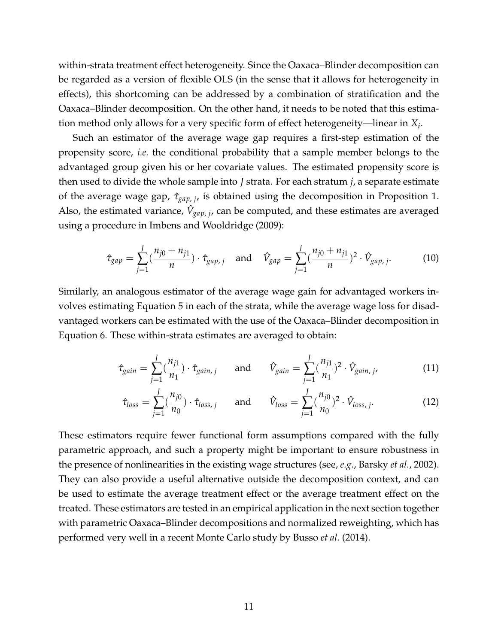within-strata treatment effect heterogeneity. Since the Oaxaca–Blinder decomposition can be regarded as a version of flexible OLS (in the sense that it allows for heterogeneity in effects), this shortcoming can be addressed by a combination of stratification and the Oaxaca–Blinder decomposition. On the other hand, it needs to be noted that this estimation method only allows for a very specific form of effect heterogeneity—linear in *X<sup>i</sup>* .

Such an estimator of the average wage gap requires a first-step estimation of the propensity score, *i.e.* the conditional probability that a sample member belongs to the advantaged group given his or her covariate values. The estimated propensity score is then used to divide the whole sample into *J* strata. For each stratum *j*, a separate estimate of the average wage gap, *τ*ˆ*gap*, *<sup>j</sup>* , is obtained using the decomposition in Proposition 1. Also, the estimated variance,  $\hat{V}_{gap, j}$ , can be computed, and these estimates are averaged using a procedure in [Imbens and Wooldridge](#page-24-2) [\(2009\)](#page-24-2):

$$
\hat{\tau}_{gap} = \sum_{j=1}^{J} \left( \frac{n_{j0} + n_{j1}}{n} \right) \cdot \hat{\tau}_{gap, j} \quad \text{and} \quad \hat{V}_{gap} = \sum_{j=1}^{J} \left( \frac{n_{j0} + n_{j1}}{n} \right)^2 \cdot \hat{V}_{gap, j}. \tag{10}
$$

Similarly, an analogous estimator of the average wage gain for advantaged workers involves estimating Equation [5](#page-7-0) in each of the strata, while the average wage loss for disadvantaged workers can be estimated with the use of the Oaxaca–Blinder decomposition in Equation [6.](#page-7-1) These within-strata estimates are averaged to obtain:

$$
\hat{\tau}_{gain} = \sum_{j=1}^{J} \left(\frac{n_{j1}}{n_1}\right) \cdot \hat{\tau}_{gain,j} \quad \text{and} \quad \hat{V}_{gain} = \sum_{j=1}^{J} \left(\frac{n_{j1}}{n_1}\right)^2 \cdot \hat{V}_{gain,j}, \tag{11}
$$

$$
\hat{\tau}_{loss} = \sum_{j=1}^{J} \left( \frac{n_{j0}}{n_0} \right) \cdot \hat{\tau}_{loss, j} \quad \text{and} \quad \hat{V}_{loss} = \sum_{j=1}^{J} \left( \frac{n_{j0}}{n_0} \right)^2 \cdot \hat{V}_{loss, j}. \tag{12}
$$

These estimators require fewer functional form assumptions compared with the fully parametric approach, and such a property might be important to ensure robustness in the presence of nonlinearities in the existing wage structures (see, *e.g.*, [Barsky](#page-22-1) *et al.*, [2002\)](#page-22-1). They can also provide a useful alternative outside the decomposition context, and can be used to estimate the average treatment effect or the average treatment effect on the treated. These estimators are tested in an empirical application in the next section together with parametric Oaxaca–Blinder decompositions and normalized reweighting, which has performed very well in a recent Monte Carlo study by [Busso](#page-22-11) *et al.* [\(2014\)](#page-22-11).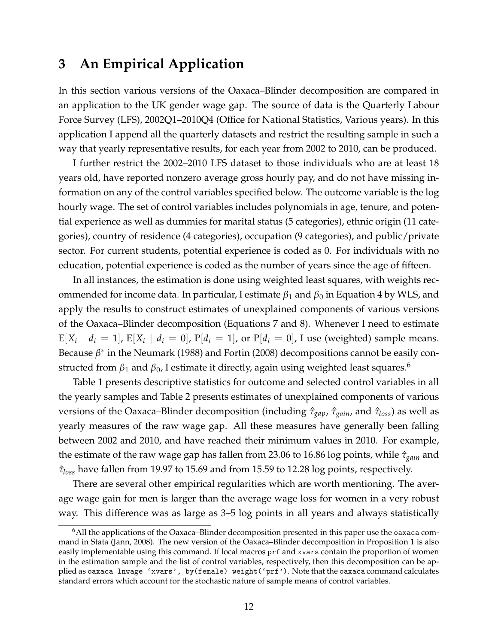# **3 An Empirical Application**

In this section various versions of the Oaxaca–Blinder decomposition are compared in an application to the UK gender wage gap. The source of data is the Quarterly Labour Force Survey (LFS), 2002Q1–2010Q4 [\(Office for National Statistics, Various years\)](#page-25-9). In this application I append all the quarterly datasets and restrict the resulting sample in such a way that yearly representative results, for each year from 2002 to 2010, can be produced.

I further restrict the 2002–2010 LFS dataset to those individuals who are at least 18 years old, have reported nonzero average gross hourly pay, and do not have missing information on any of the control variables specified below. The outcome variable is the log hourly wage. The set of control variables includes polynomials in age, tenure, and potential experience as well as dummies for marital status (5 categories), ethnic origin (11 categories), country of residence (4 categories), occupation (9 categories), and public/private sector. For current students, potential experience is coded as 0. For individuals with no education, potential experience is coded as the number of years since the age of fifteen.

In all instances, the estimation is done using weighted least squares, with weights recommended for income data. In particular, I estimate  $β_1$  and  $β_0$  in Equation [4](#page-7-2) by WLS, and apply the results to construct estimates of unexplained components of various versions of the Oaxaca–Blinder decomposition (Equations [7](#page-8-1) and [8\)](#page-8-0). Whenever I need to estimate  $E[X_i \mid d_i = 1]$ ,  $E[X_i \mid d_i = 0]$ ,  $P[d_i = 1]$ , or  $P[d_i = 0]$ , I use (weighted) sample means. Because β<sup>\*</sup> in the [Neumark](#page-25-2) [\(1988\)](#page-25-2) and [Fortin](#page-23-2) [\(2008\)](#page-23-2) decompositions cannot be easily constructed from  $β_1$  and  $β_0$ , I estimate it directly, again using weighted least squares.<sup>[6](#page-13-0)</sup>

Table 1 presents descriptive statistics for outcome and selected control variables in all the yearly samples and Table 2 presents estimates of unexplained components of various versions of the Oaxaca–Blinder decomposition (including *τ*ˆ*gap*, *τ*ˆ*gain*, and *τ*ˆ*loss*) as well as yearly measures of the raw wage gap. All these measures have generally been falling between 2002 and 2010, and have reached their minimum values in 2010. For example, the estimate of the raw wage gap has fallen from 23.06 to 16.86 log points, while  $\hat{\tau}_{gain}$  and *τ*ˆ*loss* have fallen from 19.97 to 15.69 and from 15.59 to 12.28 log points, respectively.

There are several other empirical regularities which are worth mentioning. The average wage gain for men is larger than the average wage loss for women in a very robust way. This difference was as large as 3–5 log points in all years and always statistically

<span id="page-13-0"></span><sup>&</sup>lt;sup>6</sup>All the applications of the Oaxaca–Blinder decomposition presented in this paper use the oaxaca command in Stata [\(Jann, 2008\)](#page-24-13). The new version of the Oaxaca–Blinder decomposition in Proposition 1 is also easily implementable using this command. If local macros prf and xvars contain the proportion of women in the estimation sample and the list of control variables, respectively, then this decomposition can be applied as oaxaca lnwage 'xvars', by(female) weight('prf'). Note that the oaxaca command calculates standard errors which account for the stochastic nature of sample means of control variables.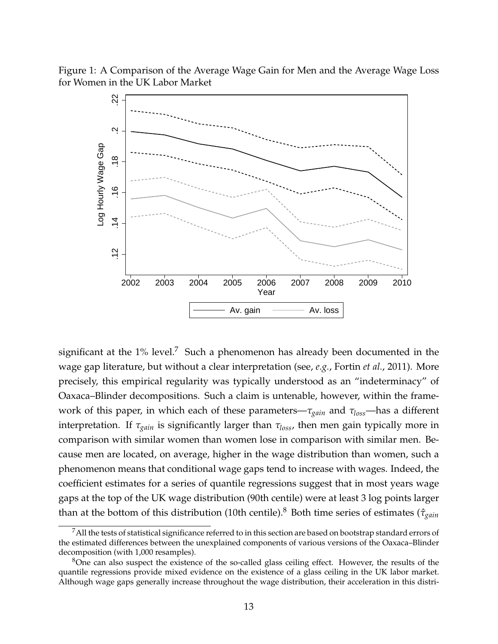Figure 1: A Comparison of the Average Wage Gain for Men and the Average Wage Loss for Women in the UK Labor Market



significant at the  $1\%$  level.<sup>[7](#page-14-0)</sup> Such a phenomenon has already been documented in the wage gap literature, but without a clear interpretation (see, *e.g.*, [Fortin](#page-23-0) *et al.*, [2011\)](#page-23-0). More precisely, this empirical regularity was typically understood as an "indeterminacy" of Oaxaca–Blinder decompositions. Such a claim is untenable, however, within the framework of this paper, in which each of these parameters—*τgain* and *τloss*—has a different interpretation. If *τgain* is significantly larger than *τloss*, then men gain typically more in comparison with similar women than women lose in comparison with similar men. Because men are located, on average, higher in the wage distribution than women, such a phenomenon means that conditional wage gaps tend to increase with wages. Indeed, the coefficient estimates for a series of quantile regressions suggest that in most years wage gaps at the top of the UK wage distribution (90th centile) were at least 3 log points larger than at the bottom of this distribution (10th centile).[8](#page-14-1) Both time series of estimates (*τ*ˆ*gain*

<span id="page-14-0"></span> $7$ All the tests of statistical significance referred to in this section are based on bootstrap standard errors of the estimated differences between the unexplained components of various versions of the Oaxaca–Blinder decomposition (with 1,000 resamples).

<span id="page-14-1"></span><sup>&</sup>lt;sup>8</sup>One can also suspect the existence of the so-called glass ceiling effect. However, the results of the quantile regressions provide mixed evidence on the existence of a glass ceiling in the UK labor market. Although wage gaps generally increase throughout the wage distribution, their acceleration in this distri-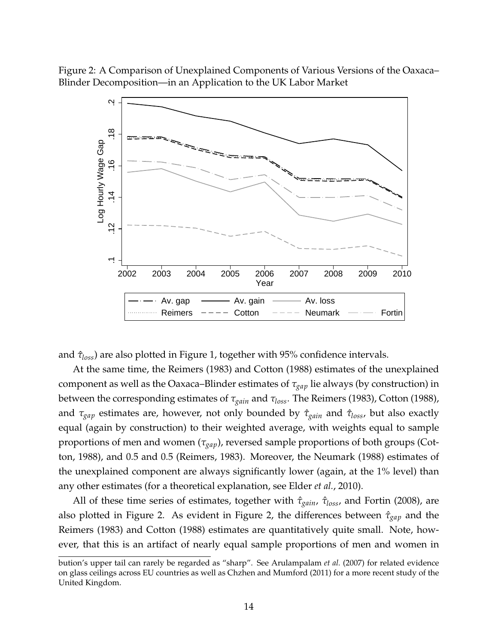Figure 2: A Comparison of Unexplained Components of Various Versions of the Oaxaca– Blinder Decomposition—in an Application to the UK Labor Market



and *τ*ˆ*loss*) are also plotted in Figure 1, together with 95% confidence intervals.

At the same time, the [Reimers](#page-25-1) [\(1983\)](#page-25-1) and [Cotton](#page-22-4) [\(1988\)](#page-22-4) estimates of the unexplained component as well as the Oaxaca–Blinder estimates of *τgap* lie always (by construction) in between the corresponding estimates of *τgain* and *τloss*. The [Reimers](#page-25-1) [\(1983\)](#page-25-1), [Cotton](#page-22-4) [\(1988\)](#page-22-4), and *τgap* estimates are, however, not only bounded by *τ*ˆ*gain* and *τ*ˆ*loss*, but also exactly equal (again by construction) to their weighted average, with weights equal to sample proportions of men and women (*τgap*), reversed sample proportions of both groups [\(Cot](#page-22-4)[ton, 1988\)](#page-22-4), and 0.5 and 0.5 [\(Reimers, 1983\)](#page-25-1). Moreover, the [Neumark](#page-25-2) [\(1988\)](#page-25-2) estimates of the unexplained component are always significantly lower (again, at the 1% level) than any other estimates (for a theoretical explanation, see [Elder](#page-23-8) *et al.*, [2010\)](#page-23-8).

All of these time series of estimates, together with  $\hat{\tau}_{gain}$ ,  $\hat{\tau}_{loss}$ , and [Fortin](#page-23-2) [\(2008\)](#page-23-2), are also plotted in Figure 2. As evident in Figure 2, the differences between *τ*ˆ*gap* and the [Reimers](#page-25-1) [\(1983\)](#page-25-1) and [Cotton](#page-22-4) [\(1988\)](#page-22-4) estimates are quantitatively quite small. Note, however, that this is an artifact of nearly equal sample proportions of men and women in

bution's upper tail can rarely be regarded as "sharp". See [Arulampalam](#page-22-9) *et al.* [\(2007\)](#page-22-9) for related evidence on glass ceilings across EU countries as well as [Chzhen and Mumford](#page-22-10) [\(2011\)](#page-22-10) for a more recent study of the United Kingdom.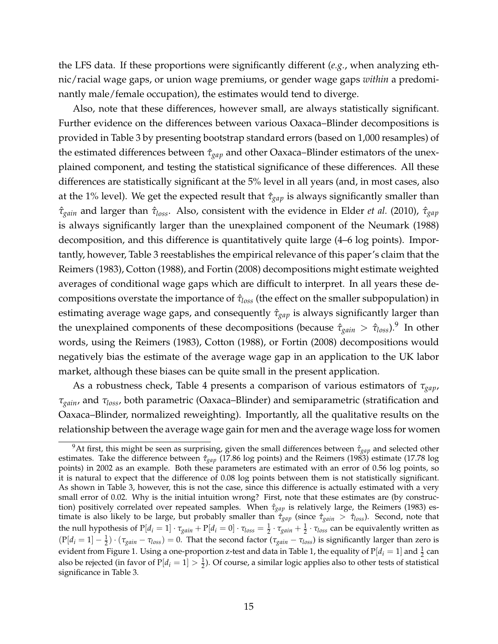the LFS data. If these proportions were significantly different (*e.g.*, when analyzing ethnic/racial wage gaps, or union wage premiums, or gender wage gaps *within* a predominantly male/female occupation), the estimates would tend to diverge.

Also, note that these differences, however small, are always statistically significant. Further evidence on the differences between various Oaxaca–Blinder decompositions is provided in Table 3 by presenting bootstrap standard errors (based on 1,000 resamples) of the estimated differences between  $\hat{\tau}_{gap}$  and other Oaxaca–Blinder estimators of the unexplained component, and testing the statistical significance of these differences. All these differences are statistically significant at the 5% level in all years (and, in most cases, also at the 1% level). We get the expected result that *τ*ˆ*gap* is always significantly smaller than *τ*ˆ*gain* and larger than *τ*ˆ*loss*. Also, consistent with the evidence in [Elder](#page-23-8) *et al.* [\(2010\)](#page-23-8), *τ*ˆ*gap* is always significantly larger than the unexplained component of the [Neumark](#page-25-2) [\(1988\)](#page-25-2) decomposition, and this difference is quantitatively quite large (4–6 log points). Importantly, however, Table 3 reestablishes the empirical relevance of this paper's claim that the [Reimers](#page-25-1) [\(1983\)](#page-25-1), [Cotton](#page-22-4) [\(1988\)](#page-22-4), and [Fortin](#page-23-2) [\(2008\)](#page-23-2) decompositions might estimate weighted averages of conditional wage gaps which are difficult to interpret. In all years these decompositions overstate the importance of *τ*ˆ*loss* (the effect on the smaller subpopulation) in estimating average wage gaps, and consequently  $\hat{\tau}_{gap}$  is always significantly larger than the unexplained components of these decompositions (because  $\hat{\tau}_{gain} > \hat{\tau}_{loss}$ ).<sup>[9](#page-16-0)</sup> In other words, using the [Reimers](#page-25-1) [\(1983\)](#page-25-1), [Cotton](#page-22-4) [\(1988\)](#page-22-4), or [Fortin](#page-23-2) [\(2008\)](#page-23-2) decompositions would negatively bias the estimate of the average wage gap in an application to the UK labor market, although these biases can be quite small in the present application.

As a robustness check, Table 4 presents a comparison of various estimators of *τgap*, *τgain*, and *τloss*, both parametric (Oaxaca–Blinder) and semiparametric (stratification and Oaxaca–Blinder, normalized reweighting). Importantly, all the qualitative results on the relationship between the average wage gain for men and the average wage loss for women

<span id="page-16-0"></span><sup>&</sup>lt;sup>9</sup>At first, this might be seen as surprising, given the small differences between  $\hat{\tau}_{gap}$  and selected other estimates. Take the difference between  $\hat{\tau}_{gap}$  (17.86 log points) and the [Reimers](#page-25-1) [\(1983\)](#page-25-1) estimate (17.78 log points) in 2002 as an example. Both these parameters are estimated with an error of 0.56 log points, so it is natural to expect that the difference of 0.08 log points between them is not statistically significant. As shown in Table 3, however, this is not the case, since this difference is actually estimated with a very small error of 0.02. Why is the initial intuition wrong? First, note that these estimates are (by construction) positively correlated over repeated samples. When  $\hat{\tau}_{gap}$  is relatively large, the [Reimers](#page-25-1) [\(1983\)](#page-25-1) estimate is also likely to be large, but probably smaller than *τ*ˆ*gap* (since *τ*ˆ*gain* > *τ*ˆ*loss*). Second, note that the null hypothesis of  $P[d_i = 1] \cdot \tau_{gain} + P[d_i = 0] \cdot \tau_{loss} = \frac{1}{2} \cdot \tau_{gain} + \frac{1}{2} \cdot \tau_{loss}$  can be equivalently written as  $(P[d_i = 1] - \frac{1}{2}) \cdot (\tau_{gain} - \tau_{loss}) = 0$ . That the second factor  $(\tau_{gain} - \tau_{loss})$  is significantly larger than zero is evident from Figure 1. Using a one-proportion z-test and data in Table 1, the equality of  $P[d_i = 1]$  and  $\frac{1}{2}$  can also be rejected (in favor of  $P[d_i = 1] > \frac{1}{2}$ ). Of course, a similar logic applies also to other tests of statistical significance in Table 3.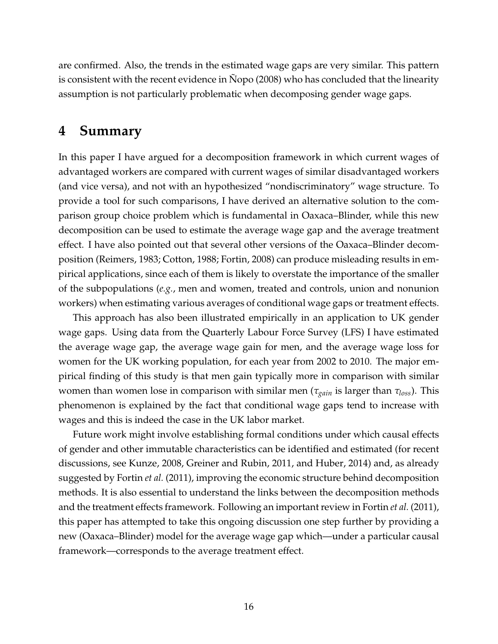are confirmed. Also, the trends in the estimated wage gaps are very similar. This pattern is consistent with the recent evidence in  $\rm Nopo$  $\rm Nopo$  [\(2008\)](#page-25-4) who has concluded that the linearity assumption is not particularly problematic when decomposing gender wage gaps.

### **4 Summary**

In this paper I have argued for a decomposition framework in which current wages of advantaged workers are compared with current wages of similar disadvantaged workers (and vice versa), and not with an hypothesized "nondiscriminatory" wage structure. To provide a tool for such comparisons, I have derived an alternative solution to the comparison group choice problem which is fundamental in Oaxaca–Blinder, while this new decomposition can be used to estimate the average wage gap and the average treatment effect. I have also pointed out that several other versions of the Oaxaca–Blinder decomposition [\(Reimers, 1983;](#page-25-1) [Cotton, 1988;](#page-22-4) [Fortin, 2008\)](#page-23-2) can produce misleading results in empirical applications, since each of them is likely to overstate the importance of the smaller of the subpopulations (*e.g.*, men and women, treated and controls, union and nonunion workers) when estimating various averages of conditional wage gaps or treatment effects.

This approach has also been illustrated empirically in an application to UK gender wage gaps. Using data from the Quarterly Labour Force Survey (LFS) I have estimated the average wage gap, the average wage gain for men, and the average wage loss for women for the UK working population, for each year from 2002 to 2010. The major empirical finding of this study is that men gain typically more in comparison with similar women than women lose in comparison with similar men (*τgain* is larger than *τloss*). This phenomenon is explained by the fact that conditional wage gaps tend to increase with wages and this is indeed the case in the UK labor market.

Future work might involve establishing formal conditions under which causal effects of gender and other immutable characteristics can be identified and estimated (for recent discussions, see [Kunze, 2008,](#page-24-14) [Greiner and Rubin, 2011,](#page-23-11) and [Huber, 2014\)](#page-23-12) and, as already suggested by [Fortin](#page-23-0) *et al.* [\(2011\)](#page-23-0), improving the economic structure behind decomposition methods. It is also essential to understand the links between the decomposition methods and the treatment effects framework. Following an important review in [Fortin](#page-23-0) *et al.* [\(2011\)](#page-23-0), this paper has attempted to take this ongoing discussion one step further by providing a new (Oaxaca–Blinder) model for the average wage gap which—under a particular causal framework—corresponds to the average treatment effect.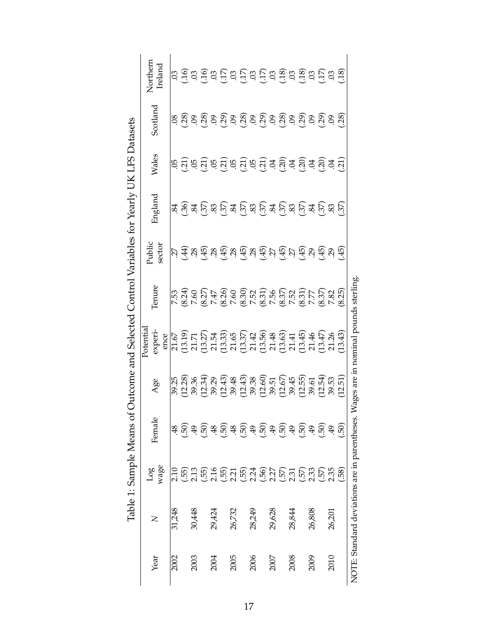|                                                                      | Northern<br>Ireland         |        | $\vec{a}$ $\vec{e}$ $\vec{a}$ $\vec{e}$ $\vec{e}$ $\vec{e}$ $\vec{e}$ $\vec{e}$ $\vec{e}$ $\vec{e}$ $\vec{e}$ $\vec{e}$ $\vec{e}$ $\vec{e}$ $\vec{e}$ $\vec{e}$ $\vec{e}$ $\vec{e}$ $\vec{e}$ $\vec{e}$ $\vec{e}$ $\vec{e}$ $\vec{e}$ $\vec{e}$ $\vec{e}$ $\vec{e}$ $\vec{e}$ $\vec{$                                                                                                                           |                      |                   |        |                      |        |                                        |        |                                                         |                  |                  |        |                      |        |                    |        |         |                                                                                    |
|----------------------------------------------------------------------|-----------------------------|--------|-----------------------------------------------------------------------------------------------------------------------------------------------------------------------------------------------------------------------------------------------------------------------------------------------------------------------------------------------------------------------------------------------------------------|----------------------|-------------------|--------|----------------------|--------|----------------------------------------|--------|---------------------------------------------------------|------------------|------------------|--------|----------------------|--------|--------------------|--------|---------|------------------------------------------------------------------------------------|
|                                                                      | Scotland                    |        |                                                                                                                                                                                                                                                                                                                                                                                                                 |                      |                   |        |                      |        |                                        |        |                                                         |                  |                  |        |                      |        |                    |        |         |                                                                                    |
|                                                                      | Wales                       |        | <u>६ तुं ६ तुं ६ तुं ६ तुं ६ तुं ३ तुं ३ तुं ३ तुं ३ तुं ३ तुं</u>                                                                                                                                                                                                                                                                                                                                              |                      |                   |        |                      |        |                                        |        |                                                         |                  |                  |        |                      |        |                    |        |         |                                                                                    |
|                                                                      | England                     |        | <u>જ્ઞં છું જ્ઞં છું જ્ઞં છું જ્ઞં છું જ્ઞં છું જ્ઞં છું જ્ઞં છું જ્ઞં છું જ્ઞં છું જ્ઞં છું જ્</u>                                                                                                                                                                                                                                                                                                             |                      |                   |        |                      |        |                                        |        |                                                         |                  |                  |        |                      |        |                    |        |         |                                                                                    |
|                                                                      | Public<br>sector            |        | $\overline{\mathcal{U}}$ $\overline{\mathcal{A}}$ $\overline{\mathcal{A}}$ $\overline{\mathcal{A}}$ $\overline{\mathcal{A}}$ $\overline{\mathcal{A}}$ $\overline{\mathcal{A}}$ $\overline{\mathcal{A}}$ $\overline{\mathcal{A}}$ $\overline{\mathcal{A}}$ $\overline{\mathcal{A}}$ $\overline{\mathcal{A}}$ $\overline{\mathcal{A}}$ $\overline{\mathcal{A}}$ $\overline{\mathcal{A}}$ $\overline{\mathcal{A}}$ |                      |                   |        |                      |        |                                        |        |                                                         |                  |                  |        |                      |        |                    |        |         |                                                                                    |
|                                                                      | Tenure                      | 7.53   | $(8.24)$<br>7.60                                                                                                                                                                                                                                                                                                                                                                                                |                      | $(8.27)$<br>7.47  |        |                      |        | $(8.26)$<br>$7.80$<br>$7.52$<br>$7.52$ |        |                                                         | $(8.31)$<br>7.56 | $(8.37)$<br>7.52 |        | $(8.31)$<br>7.77     |        | (8.37)             | 7.82   | (8.25)  |                                                                                    |
| of Outcome and Selected Control Variables for Yearly UK LFS Datasets | Potentia<br>experi-<br>ence | 21.67  |                                                                                                                                                                                                                                                                                                                                                                                                                 | $(13.19)$<br>$21.71$ |                   |        |                      |        |                                        |        |                                                         |                  |                  |        | $(13.45)$<br>$21.46$ |        | $(13.47)$<br>21.26 |        | (13.43) | NOTE: Standard deviations are in parentheses. Wages are in nominal pounds sterling |
|                                                                      | Age                         | 39.25  | (12.28)                                                                                                                                                                                                                                                                                                                                                                                                         | 39.36                | (12.34)           | 39.29  | $(12.43)$<br>$39.48$ |        | $(12.43)$<br>$39.38$                   |        | $(12.60)$<br>$39.51$<br>$(12.67)$                       |                  |                  | 39.45  | $(12.55)$<br>$39.61$ |        | (12.54)            | 39.53  | (12.51) |                                                                                    |
|                                                                      | Φ<br>Femal                  | 48     | (.50)                                                                                                                                                                                                                                                                                                                                                                                                           |                      | $-4.59$<br>$-4.8$ |        | (0.5)                |        |                                        |        | $\begin{pmatrix} 5 & 0 \\ 0 & 0 \\ 0 & 0 \end{pmatrix}$ |                  | (50)             | 49     | (150)                |        | (.50)              | 49     | (50)    |                                                                                    |
| Table 1: Sample Means                                                | wage<br>Log                 | 2.10   | (55)                                                                                                                                                                                                                                                                                                                                                                                                            | 2.13                 | (.55)             | 2.16   | $\binom{55}{2.21}$   |        | $(.55)$<br>$2.24$                      |        | $(.56)$<br>$2.27$                                       |                  | $(.57)$<br>2.31  |        | $(.57)$<br>2.33      |        | $(.57)$<br>2.35    |        | (58)    |                                                                                    |
|                                                                      | $\mathsf{Z}$                | 31,248 |                                                                                                                                                                                                                                                                                                                                                                                                                 | 30,448               |                   | 29,424 |                      | 26,732 |                                        | 28,249 |                                                         | 29,628           |                  | 28,844 |                      | 26,808 |                    | 26,201 |         |                                                                                    |
|                                                                      | Year                        | 2002   |                                                                                                                                                                                                                                                                                                                                                                                                                 | 2003                 |                   | 2004   |                      | 2005   |                                        | 2006   |                                                         | 2007             |                  | 2008   |                      | 2009   |                    | 2010   |         |                                                                                    |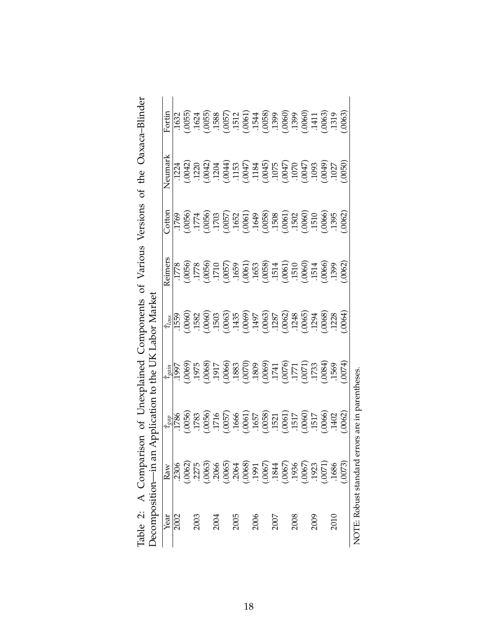|      | Table 2: A Comparison of Unexplained Components of Various |                                                                                                                                                                                                                                                                                                               |                                                                                                                                                                                                                                      |                                                                                                                                                                                              |                                                                                                                                                                                                                                                                                                               | Versions                                                                                                                                                                                                                                                                                                      | the<br>ð                                                                                                                                                                                                                                                                                            | Oaxaca-Blinder                                                                                                                                                                                                                 |
|------|------------------------------------------------------------|---------------------------------------------------------------------------------------------------------------------------------------------------------------------------------------------------------------------------------------------------------------------------------------------------------------|--------------------------------------------------------------------------------------------------------------------------------------------------------------------------------------------------------------------------------------|----------------------------------------------------------------------------------------------------------------------------------------------------------------------------------------------|---------------------------------------------------------------------------------------------------------------------------------------------------------------------------------------------------------------------------------------------------------------------------------------------------------------|---------------------------------------------------------------------------------------------------------------------------------------------------------------------------------------------------------------------------------------------------------------------------------------------------------------|-----------------------------------------------------------------------------------------------------------------------------------------------------------------------------------------------------------------------------------------------------------------------------------------------------|--------------------------------------------------------------------------------------------------------------------------------------------------------------------------------------------------------------------------------|
|      | Decomposition-in                                           |                                                                                                                                                                                                                                                                                                               |                                                                                                                                                                                                                                      | an Application to the UK Labor Market                                                                                                                                                        |                                                                                                                                                                                                                                                                                                               |                                                                                                                                                                                                                                                                                                               |                                                                                                                                                                                                                                                                                                     |                                                                                                                                                                                                                                |
| Year | Raw                                                        | $\hat{\tau}_{gap}$                                                                                                                                                                                                                                                                                            |                                                                                                                                                                                                                                      | $\hat{\tau}_{loss}$                                                                                                                                                                          | Reimers                                                                                                                                                                                                                                                                                                       | Cotton                                                                                                                                                                                                                                                                                                        | Neumark                                                                                                                                                                                                                                                                                             | Fortin                                                                                                                                                                                                                         |
| 2002 | .2306                                                      |                                                                                                                                                                                                                                                                                                               | $\hat{\tau}_{gain}^{ain}$                                                                                                                                                                                                            | 1559                                                                                                                                                                                         |                                                                                                                                                                                                                                                                                                               |                                                                                                                                                                                                                                                                                                               |                                                                                                                                                                                                                                                                                                     | 1632                                                                                                                                                                                                                           |
|      |                                                            |                                                                                                                                                                                                                                                                                                               |                                                                                                                                                                                                                                      |                                                                                                                                                                                              |                                                                                                                                                                                                                                                                                                               |                                                                                                                                                                                                                                                                                                               |                                                                                                                                                                                                                                                                                                     |                                                                                                                                                                                                                                |
| 2003 | $(0062)$<br>$2275$                                         |                                                                                                                                                                                                                                                                                                               |                                                                                                                                                                                                                                      |                                                                                                                                                                                              |                                                                                                                                                                                                                                                                                                               |                                                                                                                                                                                                                                                                                                               |                                                                                                                                                                                                                                                                                                     |                                                                                                                                                                                                                                |
|      | (.0063)                                                    | $\begin{array}{l} 1786 \\ 1783 \\ 1783 \\ 1760 \\ 1760 \\ 1760 \\ 1760 \\ 1760 \\ 1760 \\ 1760 \\ 1760 \\ 1760 \\ 1760 \\ 1760 \\ 1760 \\ 1760 \\ 1760 \\ 1760 \\ 1760 \\ 1760 \\ 1760 \\ 1760 \\ 1760 \\ 1760 \\ 1760 \\ 1760 \\ 1760 \\ 1760 \\ 1760 \\ 1760 \\ 1760 \\ 1760 \\ 1760 \\ 1760 \\ 1760 \\ 17$ | 06911, 1975<br>1976, 1980, 1980, 1980, 1980, 1980, 1980, 1980, 1980, 1980, 1980, 1980, 1980, 1980, 1980, 1980, 1980, 1980, 1<br>1980, 1980, 1980, 1980, 1980, 1980, 1980, 1980, 1980, 1980, 1980, 1980, 1980, 1980, 1980, 1980, 1980 | $(3060)$ $(3060)$ $(3060)$ $(3060)$ $(3060)$ $(3060)$ $(3060)$ $(3060)$ $(3060)$ $(3060)$ $(3060)$ $(3060)$ $(3060)$ $(3060)$ $(3060)$ $(3060)$ $(3060)$ $(3060)$ $(3060)$ $(3060)$ $(3060)$ | $\begin{array}{l} 1778 \\ 1778 \\ 1778 \\ 1778 \\ 1796 \\ 1796 \\ 1796 \\ 1796 \\ 1796 \\ 1796 \\ 1796 \\ 1796 \\ 1796 \\ 1796 \\ 1796 \\ 1796 \\ 1796 \\ 1796 \\ 1796 \\ 1796 \\ 1796 \\ 1796 \\ 1796 \\ 1796 \\ 1796 \\ 1796 \\ 1796 \\ 1796 \\ 1796 \\ 1796 \\ 1796 \\ 1796 \\ 1796 \\ 1796 \\ 1796 \\ 17$ | $\begin{array}{l} 1769 \\ 1771 \\ 1774 \\ 1790 \\ 1790 \\ 1790 \\ 1790 \\ 1790 \\ 1790 \\ 1790 \\ 1790 \\ 1790 \\ 1790 \\ 1790 \\ 1790 \\ 1790 \\ 1790 \\ 1790 \\ 1790 \\ 1790 \\ 1790 \\ 1790 \\ 1790 \\ 1790 \\ 1790 \\ 1790 \\ 1790 \\ 1790 \\ 1790 \\ 1790 \\ 1790 \\ 1790 \\ 1790 \\ 1790 \\ 1790 \\ 17$ | $\begin{array}{l} 1224 \\ 12042 \\ 12042 \\ 12042 \\ 12042 \\ 12042 \\ 12042 \\ 12042 \\ 12042 \\ 12042 \\ 12042 \\ 12042 \\ 12042 \\ 12042 \\ 12042 \\ 12042 \\ 12042 \\ 12042 \\ 12042 \\ 12042 \\ 12042 \\ 12042 \\ 12042 \\ 12042 \\ 12042 \\ 12042 \\ 12042 \\ 12042 \\ 12042 \\ 12042 \\ 120$ | $(0.055)$<br>$(0.055)$ $(0.055)$ $(0.055)$ $(0.055)$ $(0.055)$ $(0.055)$ $(0.055)$ $(0.055)$ $(0.055)$ $(0.055)$ $(0.055)$ $(0.055)$ $(0.055)$ $(0.055)$ $(0.055)$ $(0.055)$ $(0.055)$ $(0.055)$ $(0.055)$ $(0.055)$ $(0.055)$ |
| 2004 | .2066                                                      |                                                                                                                                                                                                                                                                                                               |                                                                                                                                                                                                                                      |                                                                                                                                                                                              |                                                                                                                                                                                                                                                                                                               |                                                                                                                                                                                                                                                                                                               |                                                                                                                                                                                                                                                                                                     |                                                                                                                                                                                                                                |
|      | $(0065)$<br>$2064$                                         |                                                                                                                                                                                                                                                                                                               |                                                                                                                                                                                                                                      |                                                                                                                                                                                              |                                                                                                                                                                                                                                                                                                               |                                                                                                                                                                                                                                                                                                               |                                                                                                                                                                                                                                                                                                     |                                                                                                                                                                                                                                |
| 2005 |                                                            |                                                                                                                                                                                                                                                                                                               |                                                                                                                                                                                                                                      |                                                                                                                                                                                              |                                                                                                                                                                                                                                                                                                               |                                                                                                                                                                                                                                                                                                               |                                                                                                                                                                                                                                                                                                     |                                                                                                                                                                                                                                |
|      | (0.0068)                                                   |                                                                                                                                                                                                                                                                                                               |                                                                                                                                                                                                                                      |                                                                                                                                                                                              |                                                                                                                                                                                                                                                                                                               |                                                                                                                                                                                                                                                                                                               |                                                                                                                                                                                                                                                                                                     |                                                                                                                                                                                                                                |
| 2006 |                                                            |                                                                                                                                                                                                                                                                                                               |                                                                                                                                                                                                                                      |                                                                                                                                                                                              |                                                                                                                                                                                                                                                                                                               |                                                                                                                                                                                                                                                                                                               |                                                                                                                                                                                                                                                                                                     |                                                                                                                                                                                                                                |
|      | (.0067)                                                    |                                                                                                                                                                                                                                                                                                               |                                                                                                                                                                                                                                      |                                                                                                                                                                                              |                                                                                                                                                                                                                                                                                                               |                                                                                                                                                                                                                                                                                                               |                                                                                                                                                                                                                                                                                                     |                                                                                                                                                                                                                                |
| 2007 | .1844                                                      |                                                                                                                                                                                                                                                                                                               |                                                                                                                                                                                                                                      |                                                                                                                                                                                              |                                                                                                                                                                                                                                                                                                               |                                                                                                                                                                                                                                                                                                               |                                                                                                                                                                                                                                                                                                     |                                                                                                                                                                                                                                |
|      | (.0067)                                                    |                                                                                                                                                                                                                                                                                                               |                                                                                                                                                                                                                                      |                                                                                                                                                                                              |                                                                                                                                                                                                                                                                                                               |                                                                                                                                                                                                                                                                                                               |                                                                                                                                                                                                                                                                                                     |                                                                                                                                                                                                                                |
| 2008 | .1936                                                      |                                                                                                                                                                                                                                                                                                               |                                                                                                                                                                                                                                      |                                                                                                                                                                                              |                                                                                                                                                                                                                                                                                                               |                                                                                                                                                                                                                                                                                                               |                                                                                                                                                                                                                                                                                                     |                                                                                                                                                                                                                                |
|      | (.0067)                                                    |                                                                                                                                                                                                                                                                                                               |                                                                                                                                                                                                                                      |                                                                                                                                                                                              |                                                                                                                                                                                                                                                                                                               |                                                                                                                                                                                                                                                                                                               |                                                                                                                                                                                                                                                                                                     |                                                                                                                                                                                                                                |
| 2009 | .1923                                                      |                                                                                                                                                                                                                                                                                                               |                                                                                                                                                                                                                                      |                                                                                                                                                                                              |                                                                                                                                                                                                                                                                                                               |                                                                                                                                                                                                                                                                                                               |                                                                                                                                                                                                                                                                                                     |                                                                                                                                                                                                                                |
|      | (0071)                                                     |                                                                                                                                                                                                                                                                                                               |                                                                                                                                                                                                                                      |                                                                                                                                                                                              |                                                                                                                                                                                                                                                                                                               |                                                                                                                                                                                                                                                                                                               |                                                                                                                                                                                                                                                                                                     |                                                                                                                                                                                                                                |
| 2010 | .1686                                                      |                                                                                                                                                                                                                                                                                                               |                                                                                                                                                                                                                                      |                                                                                                                                                                                              |                                                                                                                                                                                                                                                                                                               |                                                                                                                                                                                                                                                                                                               |                                                                                                                                                                                                                                                                                                     |                                                                                                                                                                                                                                |
|      | (.0073)                                                    | .0062                                                                                                                                                                                                                                                                                                         | .0074                                                                                                                                                                                                                                | 0064                                                                                                                                                                                         | .0062                                                                                                                                                                                                                                                                                                         | .0062                                                                                                                                                                                                                                                                                                         |                                                                                                                                                                                                                                                                                                     | (0063)                                                                                                                                                                                                                         |
|      | NOTE: Robust standard                                      | errors are in parentheses.                                                                                                                                                                                                                                                                                    |                                                                                                                                                                                                                                      |                                                                                                                                                                                              |                                                                                                                                                                                                                                                                                                               |                                                                                                                                                                                                                                                                                                               |                                                                                                                                                                                                                                                                                                     |                                                                                                                                                                                                                                |

|  | ĺ | varison of Unexplained Components of Various Versions of the Oaxaca-Blinder |  |  |  |  |
|--|---|-----------------------------------------------------------------------------|--|--|--|--|
|  |   | an Application to the UK Labor Market                                       |  |  |  |  |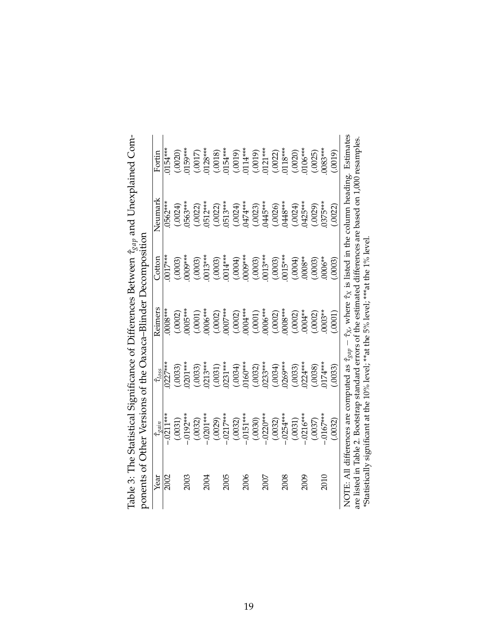|                                                               | Fortin              | $0154***$   | (.0020) | 159***                   |                       | $(0017)$<br>0128***   |                                                                                                                                  | $(0.0018)$<br>0154*** |                                          | $(0019)$<br>0114***<br>$(0019)$<br>0121*** |                       |      | $(0022)$<br>0118***   |      | $(0.0020)$<br>0106***   |      | (.0025) | 1083***   | (0100)  |                                                                                                                                                                                                |
|---------------------------------------------------------------|---------------------|-------------|---------|--------------------------|-----------------------|-----------------------|----------------------------------------------------------------------------------------------------------------------------------|-----------------------|------------------------------------------|--------------------------------------------|-----------------------|------|-----------------------|------|-------------------------|------|---------|-----------|---------|------------------------------------------------------------------------------------------------------------------------------------------------------------------------------------------------|
|                                                               | Neumark             | 0562***     | (.0024) | 1563***                  |                       | $(.0022)$<br>0512***  |                                                                                                                                  | $(.0022)$<br>0513***  |                                          | $(0024)$<br>0474***<br>0023)<br>0445***    |                       |      | $(0026)$<br>0448***   |      | $(0024)$<br>0425***     |      | (.0029) | 1375***   | .0022   | $\hat{\tau}_X$ , where $\hat{\tau}_X$ is listed in the column heading. Estimates<br>are listed in Table 2. Bootstrap standard errors of the estimated differences are based on 1,000 resamples |
| ponents of Other Versions of the Oaxaca-Blinder Decomposition | Cotton              | $0017***$   | (.0003) | 0009***                  | $(0.0003)$<br>0013*** |                       |                                                                                                                                  |                       | $(0.003)$<br>0014***<br>0004)<br>0009*** |                                            | $(0.0003)$<br>0013*** |      | $(0.0003)$<br>0015*** |      | (1000, 000)             |      | (.0003) | 0006**    | (5000.  | *Statistically significant at the 10% level; **at the 5% level; ***at the 1% level                                                                                                             |
|                                                               | Reimers             | $0008***$   | (.0002) | $0005***$                | $(.0001)$<br>0006***  |                       |                                                                                                                                  | $(.0002)$<br>0007***  |                                          | $(.0002)$<br>$0004***$                     | $(.0001)$<br>0006***  |      | $(.0002)$<br>0008***  |      | $(.0002)$<br>0004**     |      | .0002   | $0003**$  | .0001)  |                                                                                                                                                                                                |
|                                                               | $\hat{\tau}_{loss}$ | )227***     | (.0033) | $0201***$                |                       | $(0.0033)$<br>0213*** |                                                                                                                                  | $(0.0031)$<br>0231*** | $(0.034)$<br>0160***                     |                                            | $(0.0032)$<br>0233*** |      | $(0.0034)$<br>0269*** |      | $(0.033)$<br>0224***    |      | (0038)  | $174***$  | (.0033) | NOTE: All differences are computed as $\hat{\tau}_{gap}$ .                                                                                                                                     |
|                                                               | $\hat{\tau}_{gain}$ | $-0.0211**$ |         | $(.0031)$<br>$-.0192***$ |                       |                       | $(.0032)$<br>$-.0201***$<br>$(.0029)$<br>$(.0029)$<br>$(.0032)$<br>$(.0030)$<br>$(.0030)$<br>$(.0030)$<br>$(.0030)$<br>$(.0030)$ |                       |                                          |                                            |                       |      |                       |      | $(.0031)$<br>$.0216***$ |      | (.0037) | $0167***$ | (.0032) |                                                                                                                                                                                                |
|                                                               | Year                | 2002        |         | 2003                     |                       | 2004                  |                                                                                                                                  | 2005                  |                                          | 2006                                       |                       | 2007 |                       | 2008 |                         | 2009 |         | 2010      |         |                                                                                                                                                                                                |

Table 3: The Statistical Significance of Differences Between  $\hat{\tau}_{gap}$  and Unexplained Com-Table 3: The Statistical Significance of Differences Between ˆ*τgap* and Unexplained Com-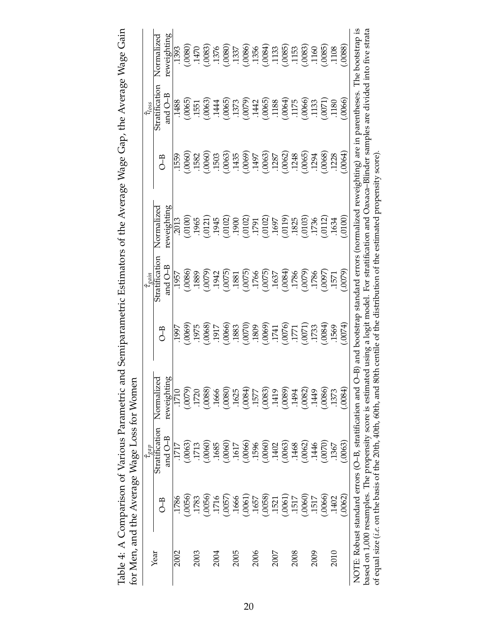| . Ic and Semiparametric Estimators of the Average Wage Gap, the Average Wage Gair |                                            |
|-----------------------------------------------------------------------------------|--------------------------------------------|
|                                                                                   |                                            |
|                                                                                   |                                            |
|                                                                                   |                                            |
|                                                                                   |                                            |
|                                                                                   |                                            |
|                                                                                   |                                            |
|                                                                                   |                                            |
|                                                                                   |                                            |
|                                                                                   |                                            |
|                                                                                   |                                            |
|                                                                                   |                                            |
|                                                                                   |                                            |
|                                                                                   |                                            |
|                                                                                   |                                            |
|                                                                                   |                                            |
|                                                                                   |                                            |
|                                                                                   |                                            |
|                                                                                   |                                            |
|                                                                                   |                                            |
|                                                                                   |                                            |
|                                                                                   |                                            |
|                                                                                   |                                            |
|                                                                                   |                                            |
|                                                                                   |                                            |
|                                                                                   |                                            |
|                                                                                   |                                            |
|                                                                                   |                                            |
|                                                                                   |                                            |
|                                                                                   | Ę                                          |
|                                                                                   |                                            |
|                                                                                   |                                            |
|                                                                                   |                                            |
|                                                                                   |                                            |
|                                                                                   |                                            |
|                                                                                   |                                            |
|                                                                                   |                                            |
|                                                                                   |                                            |
|                                                                                   |                                            |
|                                                                                   |                                            |
|                                                                                   |                                            |
|                                                                                   |                                            |
| Table 4: A Comparison of Various Parametri                                        | tor Men, and the Average Wage Loss tor Won |
|                                                                                   |                                            |
|                                                                                   |                                            |
|                                                                                   |                                            |

|      |                   | $\hat{\tau}_{gap}$                                                                                                             |                                                                                                                                                             |                                                        | $\hat{\tau}_{\varrho \alpha \dot{m}}$                                                                                                        |                                                                                                                                                                                                                                                                                                                                                                                                                          |                                                                                                      | $\hat{\tau}_{loss}$                                                                                                                                                                                                                                                                                                 |                                                                                                                                                                                                         |
|------|-------------------|--------------------------------------------------------------------------------------------------------------------------------|-------------------------------------------------------------------------------------------------------------------------------------------------------------|--------------------------------------------------------|----------------------------------------------------------------------------------------------------------------------------------------------|--------------------------------------------------------------------------------------------------------------------------------------------------------------------------------------------------------------------------------------------------------------------------------------------------------------------------------------------------------------------------------------------------------------------------|------------------------------------------------------------------------------------------------------|---------------------------------------------------------------------------------------------------------------------------------------------------------------------------------------------------------------------------------------------------------------------------------------------------------------------|---------------------------------------------------------------------------------------------------------------------------------------------------------------------------------------------------------|
| Year | 子<br>〇            | Stratification<br>and O-B                                                                                                      | $\frac{8}{10}$<br>Normalized<br>reweight                                                                                                                    | 子<br>〇                                                 | Stratification<br>and $O-B$                                                                                                                  | reweighting<br>Normalized                                                                                                                                                                                                                                                                                                                                                                                                | $O-B$                                                                                                | Stratification<br>and O–B                                                                                                                                                                                                                                                                                           | reweighting<br>Normalized                                                                                                                                                                               |
| 2002 | 1786              | 1717                                                                                                                           | 1710                                                                                                                                                        | 1997                                                   | 1957                                                                                                                                         | 2013                                                                                                                                                                                                                                                                                                                                                                                                                     | 1559                                                                                                 | 1488                                                                                                                                                                                                                                                                                                                | 1393                                                                                                                                                                                                    |
|      | .0056             | .0063)                                                                                                                         | (6200)                                                                                                                                                      | (6900)                                                 | (.0086)                                                                                                                                      | (0010)                                                                                                                                                                                                                                                                                                                                                                                                                   | .0060                                                                                                | .0065                                                                                                                                                                                                                                                                                                               |                                                                                                                                                                                                         |
| 2003 | 1783              | .1713                                                                                                                          | 1720                                                                                                                                                        |                                                        | .1889                                                                                                                                        | 1965                                                                                                                                                                                                                                                                                                                                                                                                                     | 1582                                                                                                 | 1551                                                                                                                                                                                                                                                                                                                |                                                                                                                                                                                                         |
|      | .0056)            | .0060                                                                                                                          | (0.088)                                                                                                                                                     | 1975<br>8000.                                          |                                                                                                                                              | (1945)                                                                                                                                                                                                                                                                                                                                                                                                                   | $(0060)$<br>1503                                                                                     | (6000,                                                                                                                                                                                                                                                                                                              | $(0.080)$ $(1.470)$ $(0.083)$ $(0.085)$ $(0.087)$ $(0.089)$ $(0.089)$ $(0.089)$ $(0.089)$ $(0.089)$ $(0.089)$ $(0.089)$ $(0.089)$ $(0.089)$ $(0.089)$ $(0.089)$ $(0.089)$ $(0.089)$ $(0.089)$ $(0.089)$ |
| 2004 | 1716              | .1685                                                                                                                          | .1666                                                                                                                                                       |                                                        |                                                                                                                                              |                                                                                                                                                                                                                                                                                                                                                                                                                          |                                                                                                      | .1444                                                                                                                                                                                                                                                                                                               |                                                                                                                                                                                                         |
|      | .0057             | .0060                                                                                                                          | (.0080)                                                                                                                                                     | T1917<br>T1910.                                        |                                                                                                                                              | (20102)                                                                                                                                                                                                                                                                                                                                                                                                                  |                                                                                                      |                                                                                                                                                                                                                                                                                                                     |                                                                                                                                                                                                         |
| 2005 | 1666              | 1617                                                                                                                           | .1625                                                                                                                                                       | .1883                                                  |                                                                                                                                              |                                                                                                                                                                                                                                                                                                                                                                                                                          |                                                                                                      |                                                                                                                                                                                                                                                                                                                     |                                                                                                                                                                                                         |
|      | (.0061)           | (.0066)                                                                                                                        | (1800)                                                                                                                                                      |                                                        |                                                                                                                                              | $\begin{array}{l} \textbf{(1900)} \\ \textbf{(10102)} \\ \textbf{(10102)} \\ \textbf{(10102)} \\ \textbf{(10102)} \\ \textbf{(10103)} \\ \textbf{(10119)} \\ \textbf{(10119)} \\ \textbf{(10119)} \\ \textbf{(10119)} \\ \textbf{(10119)} \\ \textbf{(10119)} \\ \textbf{(10119)} \\ \textbf{(10119)} \\ \textbf{(10119)} \\ \textbf{(10119)} \\ \textbf{(10119)} \\ \textbf{(10119)} \\ \textbf{(10119)} \\ \textbf{(1$ |                                                                                                      |                                                                                                                                                                                                                                                                                                                     |                                                                                                                                                                                                         |
| 2006 | .1657             | 1596                                                                                                                           | 1577                                                                                                                                                        |                                                        |                                                                                                                                              |                                                                                                                                                                                                                                                                                                                                                                                                                          |                                                                                                      |                                                                                                                                                                                                                                                                                                                     |                                                                                                                                                                                                         |
|      | (0058)            | (.0060)                                                                                                                        | (.0083)                                                                                                                                                     |                                                        |                                                                                                                                              |                                                                                                                                                                                                                                                                                                                                                                                                                          |                                                                                                      |                                                                                                                                                                                                                                                                                                                     |                                                                                                                                                                                                         |
| 2007 | .1521             | 1402                                                                                                                           | .1419                                                                                                                                                       |                                                        |                                                                                                                                              |                                                                                                                                                                                                                                                                                                                                                                                                                          |                                                                                                      |                                                                                                                                                                                                                                                                                                                     |                                                                                                                                                                                                         |
|      | $(0.061)$<br>1517 | (.0063)                                                                                                                        | (.0089)                                                                                                                                                     |                                                        |                                                                                                                                              |                                                                                                                                                                                                                                                                                                                                                                                                                          |                                                                                                      |                                                                                                                                                                                                                                                                                                                     |                                                                                                                                                                                                         |
| 2008 |                   | .1468                                                                                                                          | 1494                                                                                                                                                        |                                                        |                                                                                                                                              |                                                                                                                                                                                                                                                                                                                                                                                                                          |                                                                                                      |                                                                                                                                                                                                                                                                                                                     |                                                                                                                                                                                                         |
|      | (.0060)           | (.0062)                                                                                                                        | (.0082)                                                                                                                                                     | 1357<br>1700<br>1700 1700<br>1700 1700<br>1733<br>1733 |                                                                                                                                              | .0103)<br>1736                                                                                                                                                                                                                                                                                                                                                                                                           | $(0.063)$<br>$(1.435)$<br>$(0.069)$<br>$(0.063)$<br>$(0.062)$<br>$(1.287)$<br>$(0.065)$<br>$(1.294)$ |                                                                                                                                                                                                                                                                                                                     |                                                                                                                                                                                                         |
| 2009 | 1517              | 1446                                                                                                                           | .1449                                                                                                                                                       |                                                        |                                                                                                                                              |                                                                                                                                                                                                                                                                                                                                                                                                                          |                                                                                                      |                                                                                                                                                                                                                                                                                                                     |                                                                                                                                                                                                         |
|      | .0066             | (0070)                                                                                                                         | (.0086)                                                                                                                                                     | (10084)                                                | $(6079)$<br>$(6075)$<br>$(6075)$<br>$(6075)$<br>$(6075)$<br>$(6075)$<br>$(6075)$<br>$(6075)$<br>$(6075)$<br>$(6075)$<br>$(6075)$<br>$(6075)$ | 0112)<br>1634                                                                                                                                                                                                                                                                                                                                                                                                            | .0068)<br>.1228                                                                                      | $\begin{array}{l} 0.065 \\[-4pt] 0.073 \\[-4pt] 0.079 \\[-4pt] 0.079 \\[-4pt] 0.079 \\[-4pt] 0.006 \\[-4pt] 0.007 \\[-4pt] 0.007 \\[-4pt] 0.007 \\[-4pt] 0.007 \\[-4pt] 0.007 \\[-4pt] 0.007 \\[-4pt] 0.007 \\[-4pt] 0.007 \\[-4pt] 0.007 \\[-4pt] 0.007 \\[-4pt] 0.007 \\[-4pt] 0.007 \\[-4pt] 0.007 \\[-4pt] 0.0$ |                                                                                                                                                                                                         |
| 2010 | 1402              | 1367                                                                                                                           | .1373                                                                                                                                                       | 1569                                                   | 1571                                                                                                                                         |                                                                                                                                                                                                                                                                                                                                                                                                                          |                                                                                                      |                                                                                                                                                                                                                                                                                                                     |                                                                                                                                                                                                         |
|      | (.0062)           | (.0063)                                                                                                                        | (0.0084)                                                                                                                                                    | (10074)                                                | (6200)                                                                                                                                       | (0010.                                                                                                                                                                                                                                                                                                                                                                                                                   | .0064                                                                                                | .0066                                                                                                                                                                                                                                                                                                               | .0088                                                                                                                                                                                                   |
|      |                   | NOTE: Robust standard errors (O-B, stratification and<br>of equal size ( <i>i.e.</i> on the basis of the 20th, 40th, 60th, and | based on 1,000 resamples. The propensity score is estimated using a logit model. For stratification and Oaxaca-Blinder samples are divided into five strata |                                                        |                                                                                                                                              | $O-B$ ) and bootstrap standard errors (normalized reweighting) are in parentheses.<br>80th centile of the distribution of the estimated propensity score)                                                                                                                                                                                                                                                                |                                                                                                      |                                                                                                                                                                                                                                                                                                                     | The bootstrap is                                                                                                                                                                                        |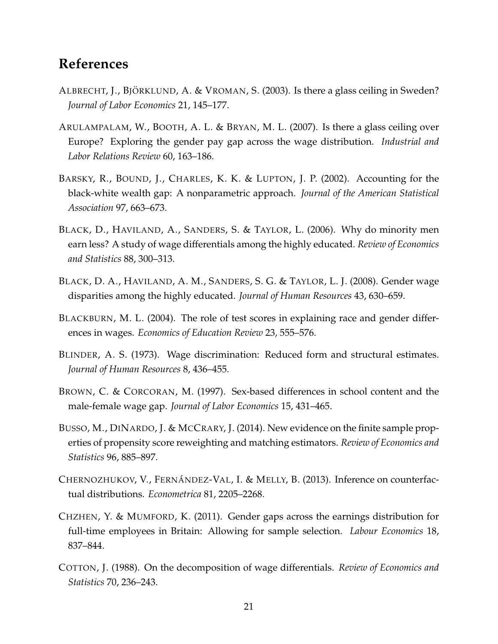## **References**

- <span id="page-22-8"></span>ALBRECHT, J., BJÖRKLUND, A. & VROMAN, S. (2003). Is there a glass ceiling in Sweden? *Journal of Labor Economics* 21, 145–177.
- <span id="page-22-9"></span>ARULAMPALAM, W., BOOTH, A. L. & BRYAN, M. L. (2007). Is there a glass ceiling over Europe? Exploring the gender pay gap across the wage distribution. *Industrial and Labor Relations Review* 60, 163–186.
- <span id="page-22-1"></span>BARSKY, R., BOUND, J., CHARLES, K. K. & LUPTON, J. P. (2002). Accounting for the black-white wealth gap: A nonparametric approach. *Journal of the American Statistical Association* 97, 663–673.
- <span id="page-22-2"></span>BLACK, D., HAVILAND, A., SANDERS, S. & TAYLOR, L. (2006). Why do minority men earn less? A study of wage differentials among the highly educated. *Review of Economics and Statistics* 88, 300–313.
- <span id="page-22-3"></span>BLACK, D. A., HAVILAND, A. M., SANDERS, S. G. & TAYLOR, L. J. (2008). Gender wage disparities among the highly educated. *Journal of Human Resources* 43, 630–659.
- <span id="page-22-7"></span>BLACKBURN, M. L. (2004). The role of test scores in explaining race and gender differences in wages. *Economics of Education Review* 23, 555–576.
- <span id="page-22-0"></span>BLINDER, A. S. (1973). Wage discrimination: Reduced form and structural estimates. *Journal of Human Resources* 8, 436–455.
- <span id="page-22-6"></span>BROWN, C. & CORCORAN, M. (1997). Sex-based differences in school content and the male-female wage gap. *Journal of Labor Economics* 15, 431–465.
- <span id="page-22-11"></span>BUSSO, M., DINARDO, J. & MCCRARY, J. (2014). New evidence on the finite sample properties of propensity score reweighting and matching estimators. *Review of Economics and Statistics* 96, 885–897.
- <span id="page-22-5"></span>CHERNOZHUKOV, V., FERNÁNDEZ-VAL, I. & MELLY, B. (2013). Inference on counterfactual distributions. *Econometrica* 81, 2205–2268.
- <span id="page-22-10"></span>CHZHEN, Y. & MUMFORD, K. (2011). Gender gaps across the earnings distribution for full-time employees in Britain: Allowing for sample selection. *Labour Economics* 18, 837–844.
- <span id="page-22-4"></span>COTTON, J. (1988). On the decomposition of wage differentials. *Review of Economics and Statistics* 70, 236–243.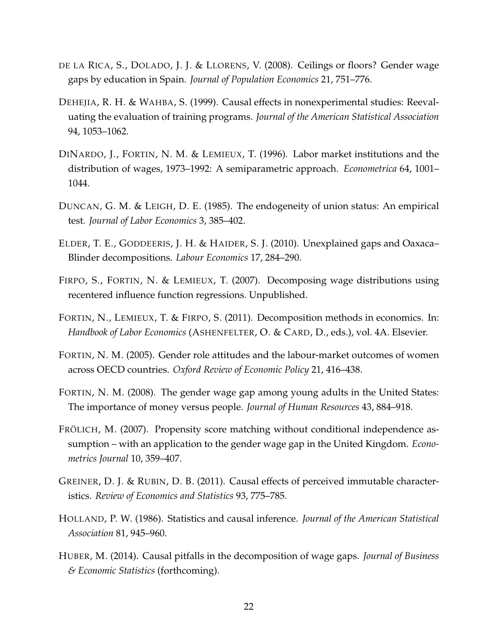- <span id="page-23-10"></span>DE LA RICA, S., DOLADO, J. J. & LLORENS, V. (2008). Ceilings or floors? Gender wage gaps by education in Spain. *Journal of Population Economics* 21, 751–776.
- <span id="page-23-9"></span>DEHEJIA, R. H. & WAHBA, S. (1999). Causal effects in nonexperimental studies: Reevaluating the evaluation of training programs. *Journal of the American Statistical Association* 94, 1053–1062.
- <span id="page-23-4"></span>DINARDO, J., FORTIN, N. M. & LEMIEUX, T. (1996). Labor market institutions and the distribution of wages, 1973–1992: A semiparametric approach. *Econometrica* 64, 1001– 1044.
- <span id="page-23-6"></span>DUNCAN, G. M. & LEIGH, D. E. (1985). The endogeneity of union status: An empirical test. *Journal of Labor Economics* 3, 385–402.
- <span id="page-23-8"></span>ELDER, T. E., GODDEERIS, J. H. & HAIDER, S. J. (2010). Unexplained gaps and Oaxaca– Blinder decompositions. *Labour Economics* 17, 284–290.
- <span id="page-23-5"></span>FIRPO, S., FORTIN, N. & LEMIEUX, T. (2007). Decomposing wage distributions using recentered influence function regressions. Unpublished.
- <span id="page-23-0"></span>FORTIN, N., LEMIEUX, T. & FIRPO, S. (2011). Decomposition methods in economics. In: *Handbook of Labor Economics* (ASHENFELTER, O. & CARD, D., eds.), vol. 4A. Elsevier.
- <span id="page-23-7"></span>FORTIN, N. M. (2005). Gender role attitudes and the labour-market outcomes of women across OECD countries. *Oxford Review of Economic Policy* 21, 416–438.
- <span id="page-23-2"></span>FORTIN, N. M. (2008). The gender wage gap among young adults in the United States: The importance of money versus people. *Journal of Human Resources* 43, 884–918.
- <span id="page-23-3"></span>FRÖLICH, M. (2007). Propensity score matching without conditional independence assumption – with an application to the gender wage gap in the United Kingdom. *Econometrics Journal* 10, 359–407.
- <span id="page-23-11"></span>GREINER, D. J. & RUBIN, D. B. (2011). Causal effects of perceived immutable characteristics. *Review of Economics and Statistics* 93, 775–785.
- <span id="page-23-1"></span>HOLLAND, P. W. (1986). Statistics and causal inference. *Journal of the American Statistical Association* 81, 945–960.
- <span id="page-23-12"></span>HUBER, M. (2014). Causal pitfalls in the decomposition of wage gaps. *Journal of Business & Economic Statistics* (forthcoming).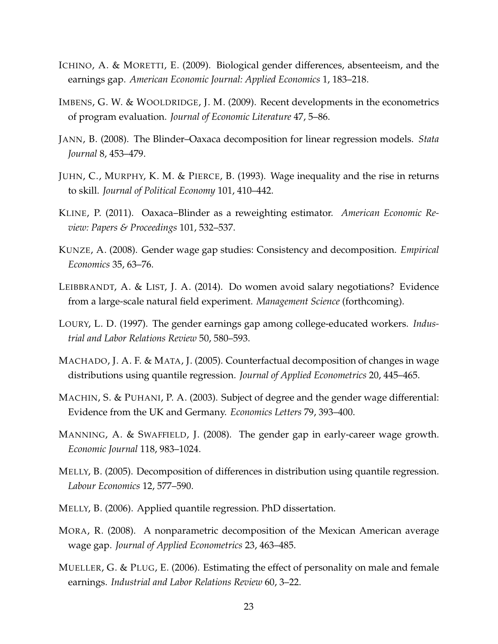- <span id="page-24-10"></span>ICHINO, A. & MORETTI, E. (2009). Biological gender differences, absenteeism, and the earnings gap. *American Economic Journal: Applied Economics* 1, 183–218.
- <span id="page-24-2"></span>IMBENS, G. W. & WOOLDRIDGE, J. M. (2009). Recent developments in the econometrics of program evaluation. *Journal of Economic Literature* 47, 5–86.
- <span id="page-24-13"></span>JANN, B. (2008). The Blinder–Oaxaca decomposition for linear regression models. *Stata Journal* 8, 453–479.
- <span id="page-24-4"></span>JUHN, C., MURPHY, K. M. & PIERCE, B. (1993). Wage inequality and the rise in returns to skill. *Journal of Political Economy* 101, 410–442.
- <span id="page-24-1"></span>KLINE, P. (2011). Oaxaca–Blinder as a reweighting estimator. *American Economic Review: Papers & Proceedings* 101, 532–537.
- <span id="page-24-14"></span>KUNZE, A. (2008). Gender wage gap studies: Consistency and decomposition. *Empirical Economics* 35, 63–76.
- <span id="page-24-9"></span>LEIBBRANDT, A. & LIST, J. A. (2014). Do women avoid salary negotiations? Evidence from a large-scale natural field experiment. *Management Science* (forthcoming).
- <span id="page-24-7"></span>LOURY, L. D. (1997). The gender earnings gap among college-educated workers. *Industrial and Labor Relations Review* 50, 580–593.
- <span id="page-24-5"></span>MACHADO, J. A. F. & MATA, J. (2005). Counterfactual decomposition of changes in wage distributions using quantile regression. *Journal of Applied Econometrics* 20, 445–465.
- <span id="page-24-8"></span>MACHIN, S. & PUHANI, P. A. (2003). Subject of degree and the gender wage differential: Evidence from the UK and Germany. *Economics Letters* 79, 393–400.
- <span id="page-24-12"></span>MANNING, A. & SWAFFIELD, J. (2008). The gender gap in early-career wage growth. *Economic Journal* 118, 983–1024.
- <span id="page-24-6"></span>MELLY, B. (2005). Decomposition of differences in distribution using quantile regression. *Labour Economics* 12, 577–590.
- <span id="page-24-0"></span>MELLY, B. (2006). Applied quantile regression. PhD dissertation.
- <span id="page-24-3"></span>MORA, R. (2008). A nonparametric decomposition of the Mexican American average wage gap. *Journal of Applied Econometrics* 23, 463–485.
- <span id="page-24-11"></span>MUELLER, G. & PLUG, E. (2006). Estimating the effect of personality on male and female earnings. *Industrial and Labor Relations Review* 60, 3–22.